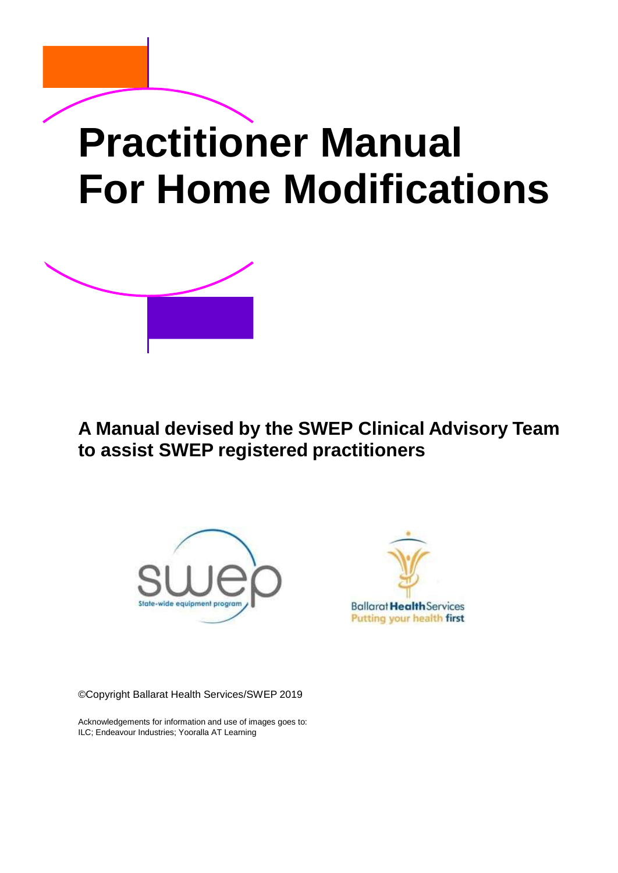# **Practitioner Manual For Home Modifications**



**A Manual devised by the SWEP Clinical Advisory Team to assist SWEP registered practitioners**





©Copyright Ballarat Health Services/SWEP 2019

Acknowledgements for information and use of images goes to: ILC; Endeavour Industries; Yooralla AT Learning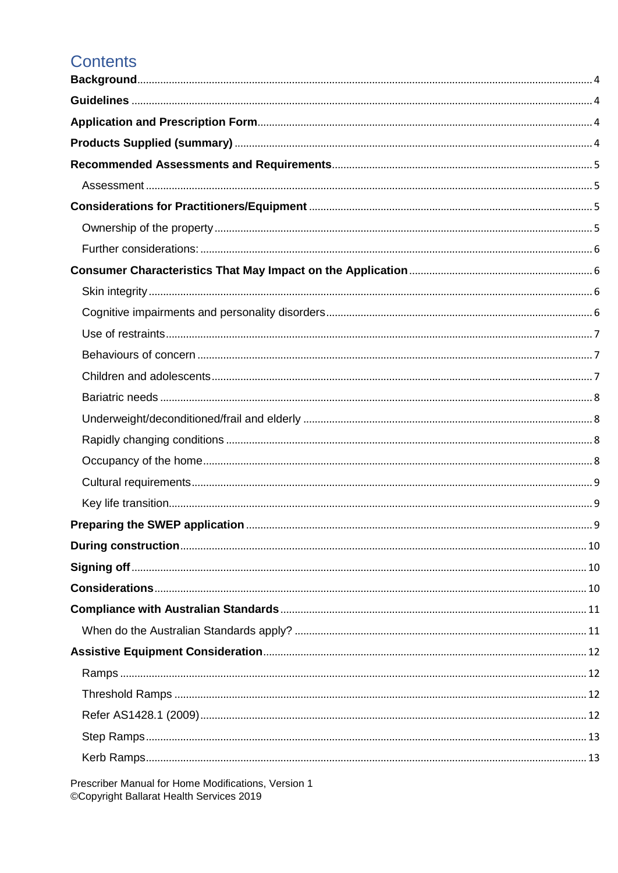#### **Contents**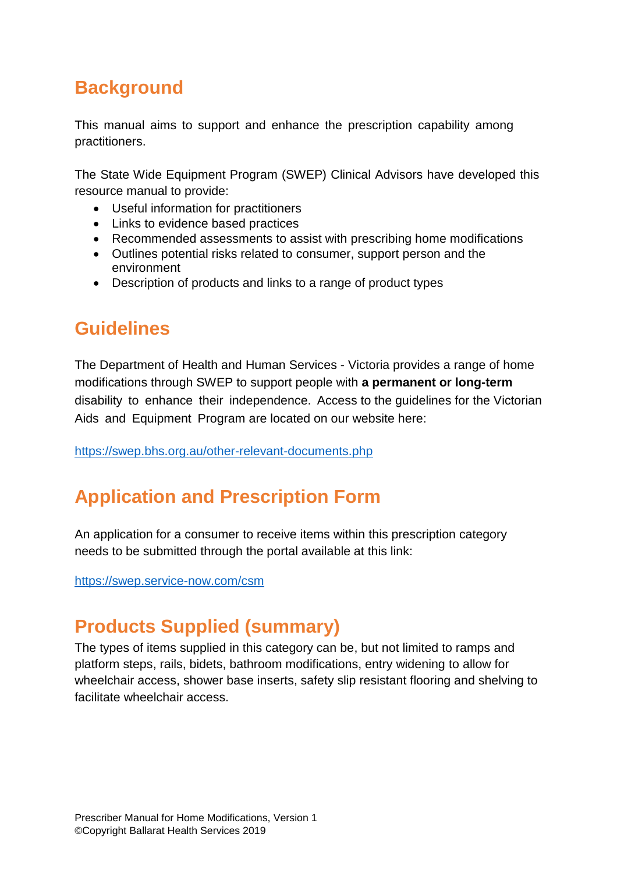### <span id="page-3-0"></span>**Background**

This manual aims to support and enhance the prescription capability among practitioners.

The State Wide Equipment Program (SWEP) Clinical Advisors have developed this resource manual to provide:

- Useful information for practitioners
- Links to evidence based practices
- Recommended assessments to assist with prescribing home modifications
- Outlines potential risks related to consumer, support person and the environment
- Description of products and links to a range of product types

### <span id="page-3-1"></span>**Guidelines**

The Department of Health and Human Services - Victoria provides a range of home modifications through SWEP to support people with **a permanent or long-term**  disability to enhance their independence. Access to the guidelines for the Victorian Aids and Equipment Program are located on our website here:

<https://swep.bhs.org.au/other-relevant-documents.php>

### <span id="page-3-2"></span>**Application and Prescription Form**

An application for a consumer to receive items within this prescription category needs to be submitted through the portal available at this link:

<https://swep.service-now.com/csm>

### <span id="page-3-3"></span>**Products Supplied (summary)**

The types of items supplied in this category can be, but not limited to ramps and platform steps, rails, bidets, bathroom modifications, entry widening to allow for wheelchair access, shower base inserts, safety slip resistant flooring and shelving to facilitate wheelchair access.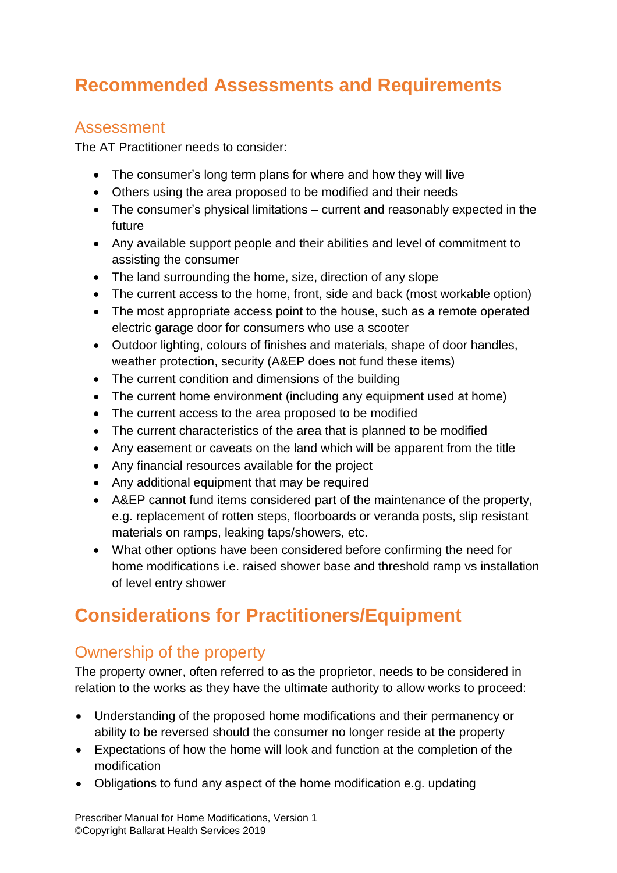### <span id="page-4-0"></span>**Recommended Assessments and Requirements**

#### <span id="page-4-1"></span>Assessment

The AT Practitioner needs to consider:

- The consumer's long term plans for where and how they will live
- Others using the area proposed to be modified and their needs
- The consumer's physical limitations current and reasonably expected in the future
- Any available support people and their abilities and level of commitment to assisting the consumer
- The land surrounding the home, size, direction of any slope
- The current access to the home, front, side and back (most workable option)
- The most appropriate access point to the house, such as a remote operated electric garage door for consumers who use a scooter
- Outdoor lighting, colours of finishes and materials, shape of door handles, weather protection, security (A&EP does not fund these items)
- The current condition and dimensions of the building
- The current home environment (including any equipment used at home)
- The current access to the area proposed to be modified
- The current characteristics of the area that is planned to be modified
- Any easement or caveats on the land which will be apparent from the title
- Any financial resources available for the project
- Any additional equipment that may be required
- A&EP cannot fund items considered part of the maintenance of the property, e.g. replacement of rotten steps, floorboards or veranda posts, slip resistant materials on ramps, leaking taps/showers, etc.
- What other options have been considered before confirming the need for home modifications i.e. raised shower base and threshold ramp vs installation of level entry shower

### <span id="page-4-2"></span>**Considerations for Practitioners/Equipment**

#### <span id="page-4-3"></span>Ownership of the property

The property owner, often referred to as the proprietor, needs to be considered in relation to the works as they have the ultimate authority to allow works to proceed:

- Understanding of the proposed home modifications and their permanency or ability to be reversed should the consumer no longer reside at the property
- Expectations of how the home will look and function at the completion of the modification
- Obligations to fund any aspect of the home modification e.g. updating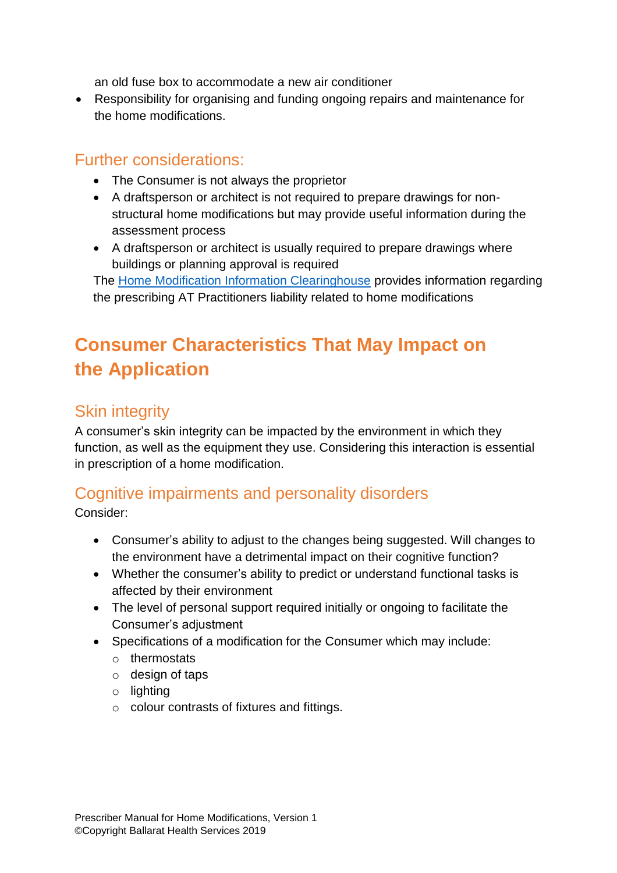an old fuse box to accommodate a new air conditioner

 Responsibility for organising and funding ongoing repairs and maintenance for the home modifications.

#### <span id="page-5-0"></span>Further considerations:

- The Consumer is not always the proprietor
- A draftsperson or architect is not required to prepare drawings for nonstructural home modifications but may provide useful information during the assessment process
- A draftsperson or architect is usually required to prepare drawings where buildings or planning approval is required

The [Home Modification Information Clearinghouse](http://www.homemods.info/forums/home-modifications/general/occupational-therapy-liability-and-appropriateness-of-some-hmms-forms-209) provides information regarding the prescribing AT Practitioners liability related to home modifications

### <span id="page-5-1"></span>**Consumer Characteristics That May Impact on the Application**

#### <span id="page-5-2"></span>Skin integrity

A consumer's skin integrity can be impacted by the environment in which they function, as well as the equipment they use. Considering this interaction is essential in prescription of a home modification.

#### <span id="page-5-3"></span>Cognitive impairments and personality disorders

Consider:

- Consumer's ability to adjust to the changes being suggested. Will changes to the environment have a detrimental impact on their cognitive function?
- Whether the consumer's ability to predict or understand functional tasks is affected by their environment
- The level of personal support required initially or ongoing to facilitate the Consumer's adjustment
- Specifications of a modification for the Consumer which may include:
	- o thermostats
	- o design of taps
	- o lighting
	- o colour contrasts of fixtures and fittings.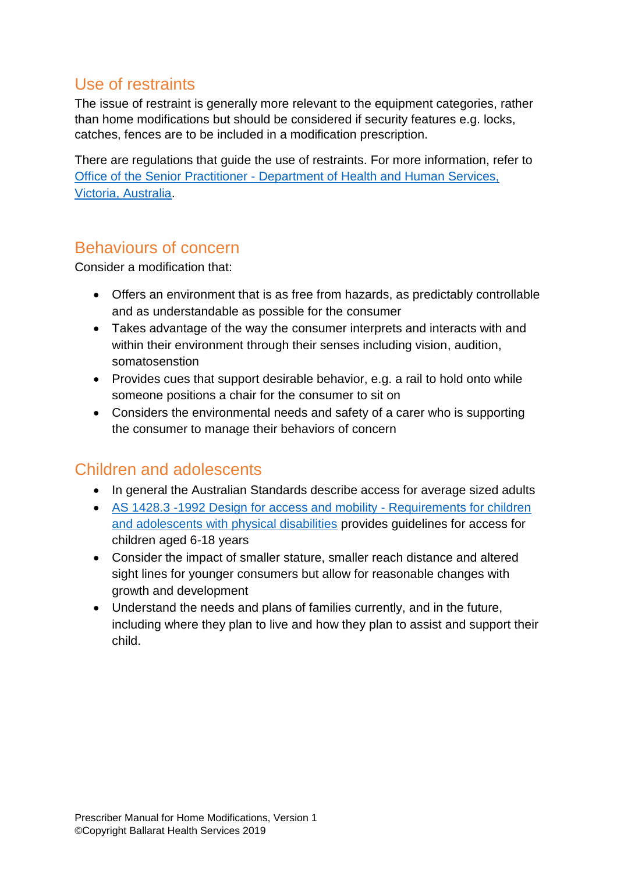#### <span id="page-6-0"></span>Use of restraints

The issue of restraint is generally more relevant to the equipment categories, rather than home modifications but should be considered if security features e.g. locks, catches, fences are to be included in a modification prescription.

There are regulations that guide the use of restraints. For more information, refer to Office of the Senior Practitioner - [Department of Health and Human Services,](http://www.dhs.vic.gov.au/for-service-providers/disability/service-quality-and-improvement/disability-act-2006-for-service-provider/Restrictive-interventions-and-compulsory-treatment/related-resources-holder8/restrictive-intervention-data-system-ebehaviour-support-plan)  [Victoria, Australia.](http://www.dhs.vic.gov.au/for-service-providers/disability/service-quality-and-improvement/disability-act-2006-for-service-provider/Restrictive-interventions-and-compulsory-treatment/related-resources-holder8/restrictive-intervention-data-system-ebehaviour-support-plan)

#### <span id="page-6-1"></span>Behaviours of concern

Consider a modification that:

- Offers an environment that is as free from hazards, as predictably controllable and as understandable as possible for the consumer
- Takes advantage of the way the consumer interprets and interacts with and within their environment through their senses including vision, audition, somatosenstion
- Provides cues that support desirable behavior, e.g. a rail to hold onto while someone positions a chair for the consumer to sit on
- Considers the environmental needs and safety of a carer who is supporting the consumer to manage their behaviors of concern

#### <span id="page-6-2"></span>Children and adolescents

- In general the Australian Standards describe access for average sized adults
- [AS 1428.3 -1992 Design for access and mobility -](http://infostore.saiglobal.com/store/Details.aspx?ProductID=227283) Requirements for children [and adolescents with physical disabilities](http://infostore.saiglobal.com/store/Details.aspx?ProductID=227283) provides guidelines for access for children aged 6-18 years
- Consider the impact of smaller stature, smaller reach distance and altered sight lines for younger consumers but allow for reasonable changes with growth and development
- Understand the needs and plans of families currently, and in the future, including where they plan to live and how they plan to assist and support their child.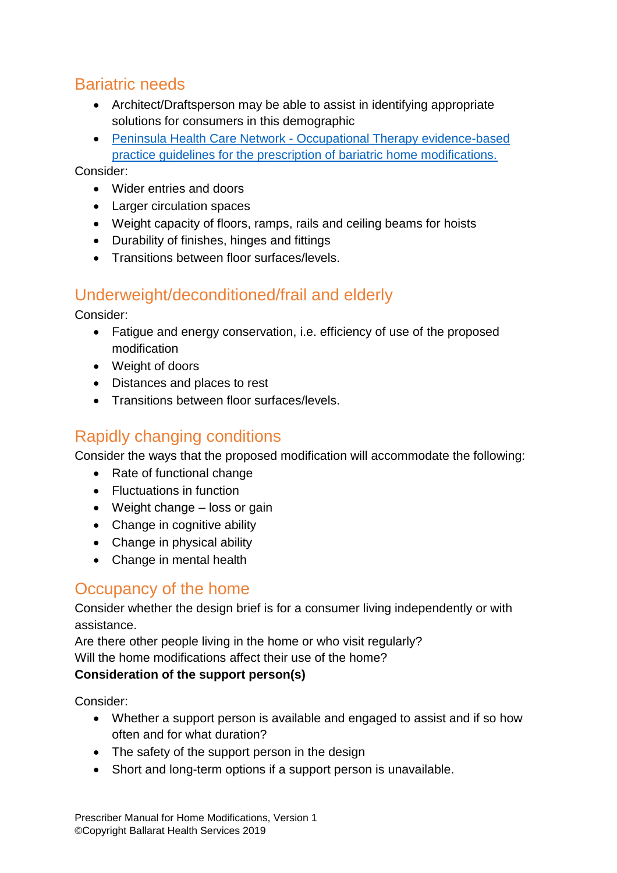#### <span id="page-7-0"></span>Bariatric needs

- Architect/Draftsperson may be able to assist in identifying appropriate solutions for consumers in this demographic
- Peninsula Health Care Network [Occupational Therapy evidence-based](https://www.homemods.info/resources/publications-by-others/inclusive-design/occupational-therapy-evidence-based-practice-guidelines-for-the-prescription-of-bariatric-home-modifications)  [practice guidelines for the prescription of bariatric home modifications.](https://www.homemods.info/resources/publications-by-others/inclusive-design/occupational-therapy-evidence-based-practice-guidelines-for-the-prescription-of-bariatric-home-modifications)

Consider:

- Wider entries and doors
- Larger circulation spaces
- Weight capacity of floors, ramps, rails and ceiling beams for hoists
- Durability of finishes, hinges and fittings
- **•** Transitions between floor surfaces/levels.

#### <span id="page-7-1"></span>Underweight/deconditioned/frail and elderly

Consider:

- Fatigue and energy conservation, i.e. efficiency of use of the proposed modification
- Weight of doors
- Distances and places to rest
- Transitions between floor surfaces/levels.

#### <span id="page-7-2"></span>Rapidly changing conditions

Consider the ways that the proposed modification will accommodate the following:

- Rate of functional change
- Fluctuations in function
- Weight change loss or gain
- Change in cognitive ability
- Change in physical ability
- Change in mental health

#### <span id="page-7-3"></span>Occupancy of the home

Consider whether the design brief is for a consumer living independently or with assistance.

Are there other people living in the home or who visit regularly?

Will the home modifications affect their use of the home?

#### **Consideration of the support person(s)**

Consider:

- Whether a support person is available and engaged to assist and if so how often and for what duration?
- The safety of the support person in the design
- Short and long-term options if a support person is unavailable.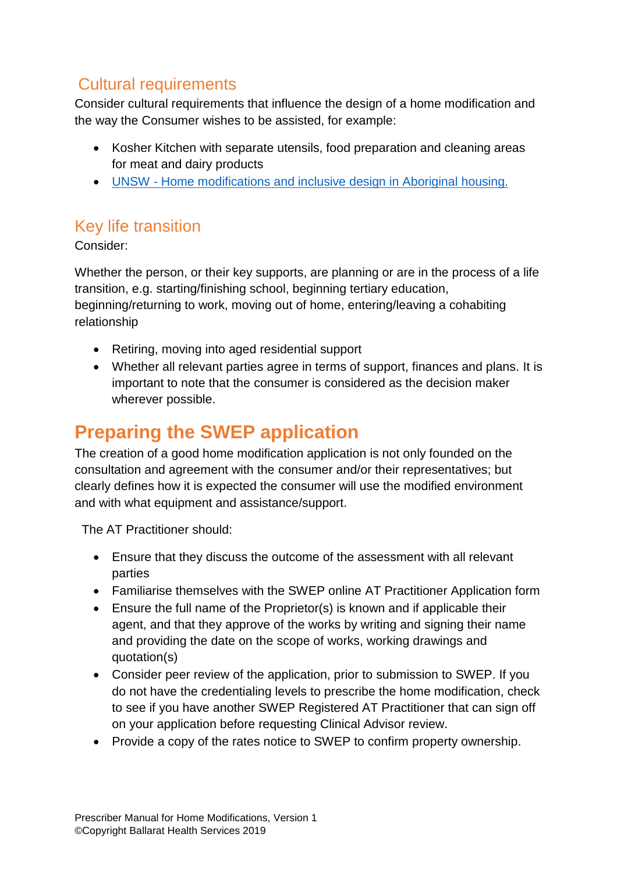#### <span id="page-8-0"></span>Cultural requirements

Consider cultural requirements that influence the design of a home modification and the way the Consumer wishes to be assisted, for example:

- Kosher Kitchen with separate utensils, food preparation and cleaning areas for meat and dairy products
- UNSW [Home modifications and inclusive design in Aboriginal housing.](http://homemods.info/Download.ashx?File=4aeb42466624a53719961b06f1c1c8e)

#### <span id="page-8-1"></span>Key life transition

Consider:

Whether the person, or their key supports, are planning or are in the process of a life transition, e.g. starting/finishing school, beginning tertiary education, beginning/returning to work, moving out of home, entering/leaving a cohabiting relationship

- Retiring, moving into aged residential support
- Whether all relevant parties agree in terms of support, finances and plans. It is important to note that the consumer is considered as the decision maker wherever possible.

### <span id="page-8-2"></span>**Preparing the SWEP application**

The creation of a good home modification application is not only founded on the consultation and agreement with the consumer and/or their representatives; but clearly defines how it is expected the consumer will use the modified environment and with what equipment and assistance/support.

The AT Practitioner should:

- Ensure that they discuss the outcome of the assessment with all relevant parties
- Familiarise themselves with the SWEP online AT Practitioner Application form
- Ensure the full name of the Proprietor(s) is known and if applicable their agent, and that they approve of the works by writing and signing their name and providing the date on the scope of works, working drawings and quotation(s)
- Consider peer review of the application, prior to submission to SWEP. If you do not have the credentialing levels to prescribe the home modification, check to see if you have another SWEP Registered AT Practitioner that can sign off on your application before requesting Clinical Advisor review.
- Provide a copy of the rates notice to SWEP to confirm property ownership.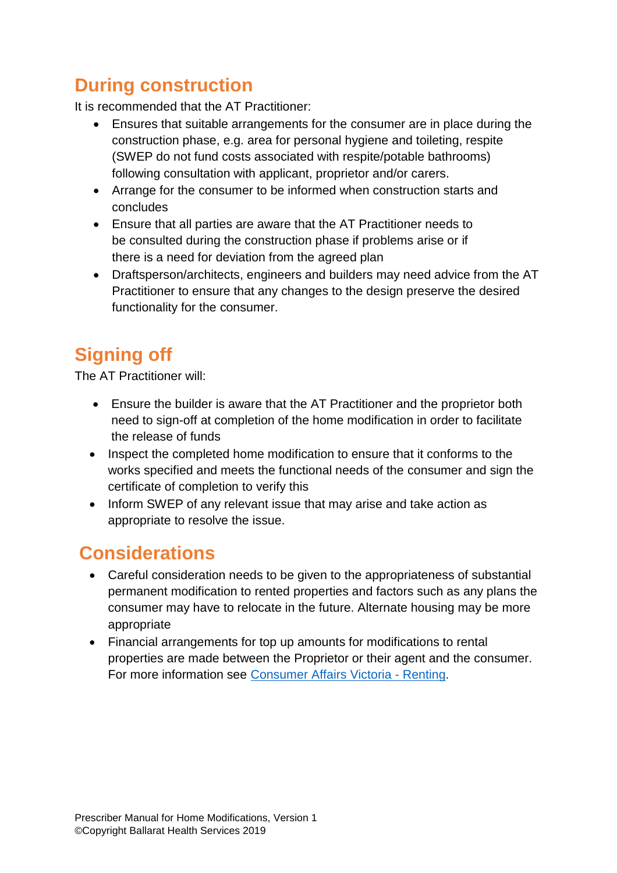### <span id="page-9-0"></span>**During construction**

It is recommended that the AT Practitioner:

- Ensures that suitable arrangements for the consumer are in place during the construction phase, e.g. area for personal hygiene and toileting, respite (SWEP do not fund costs associated with respite/potable bathrooms) following consultation with applicant, proprietor and/or carers.
- Arrange for the consumer to be informed when construction starts and concludes
- Ensure that all parties are aware that the AT Practitioner needs to be consulted during the construction phase if problems arise or if there is a need for deviation from the agreed plan
- Draftsperson/architects, engineers and builders may need advice from the AT Practitioner to ensure that any changes to the design preserve the desired functionality for the consumer.

# <span id="page-9-1"></span>**Signing off**

The AT Practitioner will:

- Ensure the builder is aware that the AT Practitioner and the proprietor both need to sign-off at completion of the home modification in order to facilitate the release of funds
- Inspect the completed home modification to ensure that it conforms to the works specified and meets the functional needs of the consumer and sign the certificate of completion to verify this
- Inform SWEP of any relevant issue that may arise and take action as appropriate to resolve the issue.

### <span id="page-9-2"></span>**Considerations**

- Careful consideration needs to be given to the appropriateness of substantial permanent modification to rented properties and factors such as any plans the consumer may have to relocate in the future. Alternate housing may be more appropriate
- Financial arrangements for top up amounts for modifications to rental properties are made between the Proprietor or their agent and the consumer. For more information see Consumer [Affairs Victoria -](https://www.consumer.vic.gov.au/housing-and-accommodation) Renting.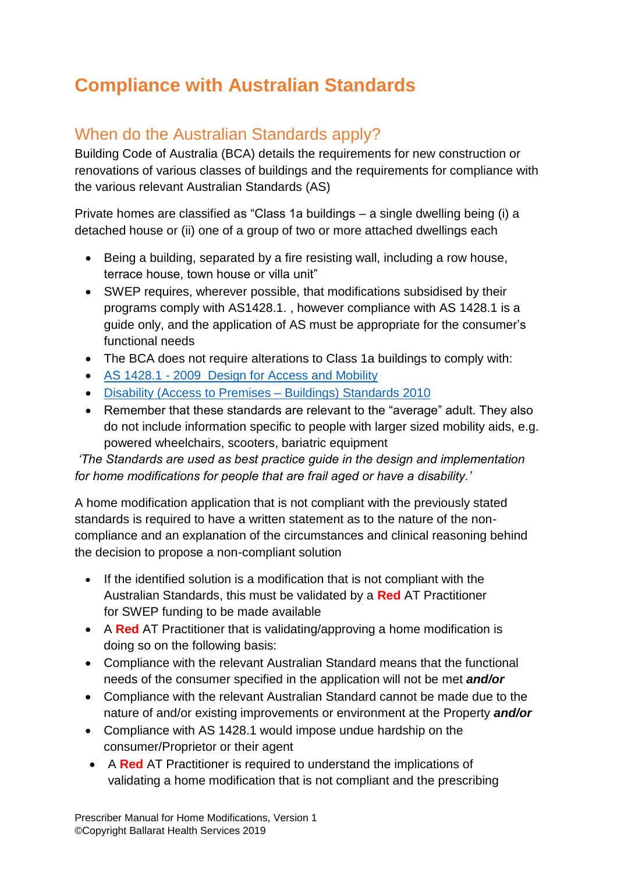### <span id="page-10-0"></span>**Compliance with Australian Standards**

#### <span id="page-10-1"></span>When do the Australian Standards apply?

Building Code of Australia (BCA) details the requirements for new construction or renovations of various classes of buildings and the requirements for compliance with the various relevant Australian Standards (AS)

Private homes are classified as "Class 1a buildings – a single dwelling being (i) a detached house or (ii) one of a group of two or more attached dwellings each

- Being a building, separated by a fire resisting wall, including a row house, terrace house, town house or villa unit"
- SWEP requires, wherever possible, that modifications subsidised by their programs comply with AS1428.1. , however compliance with AS 1428.1 is a guide only, and the application of AS must be appropriate for the consumer's functional needs
- The BCA does not require alterations to Class 1a buildings to comply with:
- AS 1428.1 [2009 Design for Access and Mobility](http://infostore.saiglobal.com/store/Details.aspx?ProductID=1378917)
- [Disability \(Access to Premises –](https://www.legislation.gov.au/Details/F2010L00668) Buildings) Standards 2010
- Remember that these standards are relevant to the "average" adult. They also do not include information specific to people with larger sized mobility aids, e.g. powered wheelchairs, scooters, bariatric equipment

*'The Standards are used as best practice guide in the design and implementation for home modifications for people that are frail aged or have a disability.'* 

A home modification application that is not compliant with the previously stated standards is required to have a written statement as to the nature of the noncompliance and an explanation of the circumstances and clinical reasoning behind the decision to propose a non-compliant solution

- If the identified solution is a modification that is not compliant with the Australian Standards, this must be validated by a **Red** AT Practitioner for SWEP funding to be made available
- A **Red** AT Practitioner that is validating/approving a home modification is doing so on the following basis:
- Compliance with the relevant Australian Standard means that the functional needs of the consumer specified in the application will not be met *and/or*
- Compliance with the relevant Australian Standard cannot be made due to the nature of and/or existing improvements or environment at the Property *and/or*
- Compliance with AS 1428.1 would impose undue hardship on the consumer/Proprietor or their agent
- A **Red** AT Practitioner is required to understand the implications of validating a home modification that is not compliant and the prescribing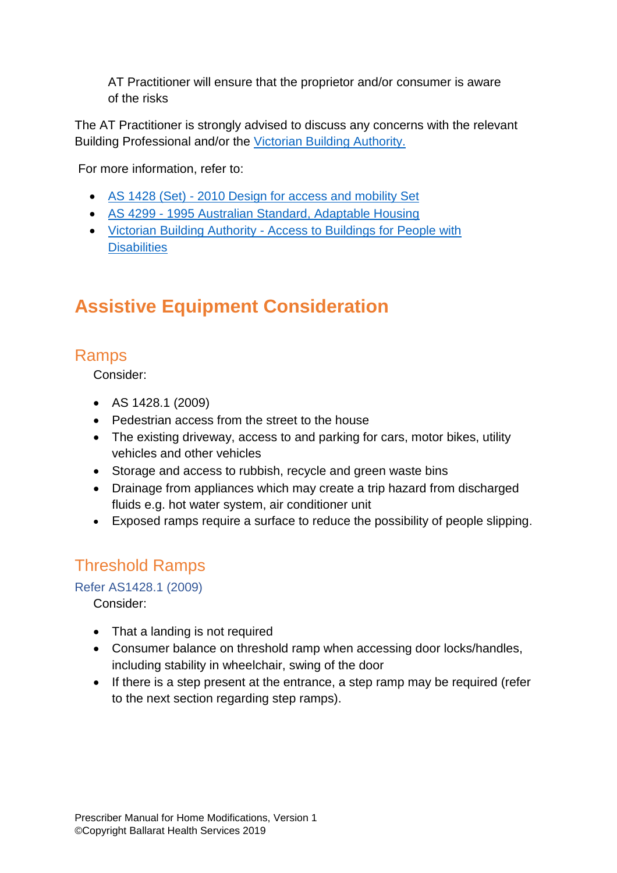AT Practitioner will ensure that the proprietor and/or consumer is aware of the risks

The AT Practitioner is strongly advised to discuss any concerns with the relevant Building Professional and/or the [Victorian Building Authority.](https://www.vba.vic.gov.au/)

For more information, refer to:

- AS 1428 (Set) [2010 Design for access and mobility Set](http://infostore.saiglobal.com/store/Details.aspx?ProductID=1407487)
- AS 4299 [1995 Australian Standard, Adaptable Housing](http://infostore.saiglobal.com/store/downloadFile.aspx?path=Previews%25%205cAs%25%205cas4000%25%205c4200%25%205c4299.pdf)
- Victorian Building Authority [Access to Buildings for People with](http://www.vba.vic.gov.au/__data/assets/pdf_file/0017/21077/PN-14-2014-Access-to-Buildings-for-People-with-a-Disability.pdf)  **[Disabilities](http://www.vba.vic.gov.au/__data/assets/pdf_file/0017/21077/PN-14-2014-Access-to-Buildings-for-People-with-a-Disability.pdf)**

## <span id="page-11-0"></span>**Assistive Equipment Consideration**

#### <span id="page-11-1"></span>Ramps

Consider:

- AS 1428.1 (2009)
- Pedestrian access from the street to the house
- The existing driveway, access to and parking for cars, motor bikes, utility vehicles and other vehicles
- Storage and access to rubbish, recycle and green waste bins
- Drainage from appliances which may create a trip hazard from discharged fluids e.g. hot water system, air conditioner unit
- Exposed ramps require a surface to reduce the possibility of people slipping.

#### <span id="page-11-2"></span>Threshold Ramps

#### <span id="page-11-3"></span>Refer AS1428.1 (2009)

Consider:

- That a landing is not required
- Consumer balance on threshold ramp when accessing door locks/handles, including stability in wheelchair, swing of the door
- If there is a step present at the entrance, a step ramp may be required (refer to the next section regarding step ramps).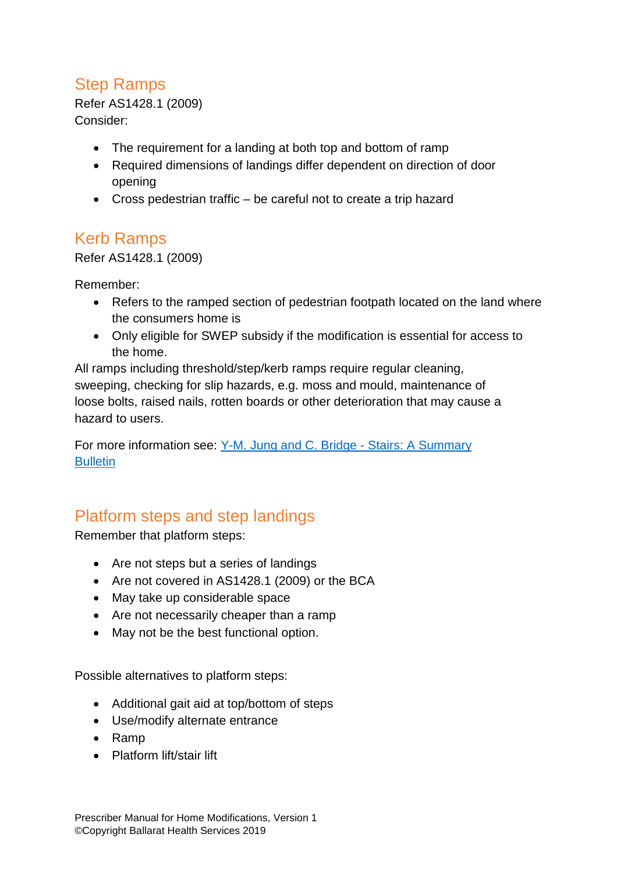#### <span id="page-12-0"></span>Step Ramps

Refer AS1428.1 (2009) Consider:

- The requirement for a landing at both top and bottom of ramp
- Required dimensions of landings differ dependent on direction of door opening
- Cross pedestrian traffic be careful not to create a trip hazard

#### <span id="page-12-1"></span>Kerb Ramps

Refer AS1428.1 (2009)

Remember:

- Refers to the ramped section of pedestrian footpath located on the land where the consumers home is
- Only eligible for SWEP subsidy if the modification is essential for access to the home.

All ramps including threshold/step/kerb ramps require regular cleaning, sweeping, checking for slip hazards, e.g. moss and mould, maintenance of loose bolts, raised nails, rotten boards or other deterioration that may cause a hazard to users.

For more information see: [Y-M. Jung and C. Bridge -](http://homemods.info/Download.ashx?File=4997845d7c4144ad9aa556e44aa71b6c) Stairs: A Summary **[Bulletin](http://homemods.info/Download.ashx?File=4997845d7c4144ad9aa556e44aa71b6c)** 

#### <span id="page-12-2"></span>Platform steps and step landings

Remember that platform steps:

- Are not steps but a series of landings
- Are not covered in AS1428.1 (2009) or the BCA
- May take up considerable space
- Are not necessarily cheaper than a ramp
- May not be the best functional option.

Possible alternatives to platform steps:

- Additional gait aid at top/bottom of steps
- Use/modify alternate entrance
- Ramp
- Platform lift/stair lift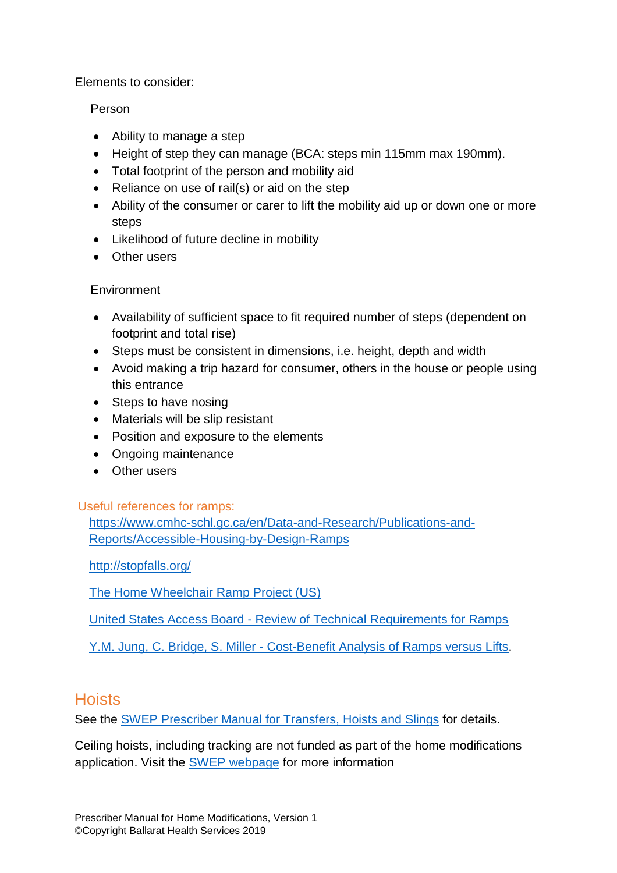Elements to consider:

#### Person

- Ability to manage a step
- Height of step they can manage (BCA: steps min 115mm max 190mm).
- Total footprint of the person and mobility aid
- Reliance on use of rail(s) or aid on the step
- Ability of the consumer or carer to lift the mobility aid up or down one or more steps
- Likelihood of future decline in mobility
- Other users

#### **Environment**

- Availability of sufficient space to fit required number of steps (dependent on footprint and total rise)
- Steps must be consistent in dimensions, i.e. height, depth and width
- Avoid making a trip hazard for consumer, others in the house or people using this entrance
- Steps to have nosing
- Materials will be slip resistant
- Position and exposure to the elements
- Ongoing maintenance
- Other users

#### <span id="page-13-0"></span>Useful references for ramps:

[https://www.cmhc-schl.gc.ca/en/Data-and-Research/Publications-and-](https://www.cmhc-schl.gc.ca/en/Data-and-Research/Publications-and-Reports/Accessible-Housing-by-Design-Ramps)[Reports/Accessible-Housing-by-Design-Ramps](https://www.cmhc-schl.gc.ca/en/Data-and-Research/Publications-and-Reports/Accessible-Housing-by-Design-Ramps)

<http://stopfalls.org/>

[The Home Wheelchair Ramp Project \(US\)](http://www.klownwerkz.com/ramp/)

United States Access Board - [Review of Technical Requirements for Ramps](https://www.access-board.gov/guidelines-and-standards/buildings-and-sites/about-the-ada-standards/background/proposed-ada-and-aba-accessibility-guidelines/part-iii-technical-requirements) 

Y.M. Jung, C. Bridge, S. Miller - [Cost-Benefit Analysis of Ramps versus Lifts.](file://///SRV-NAS-04/User$/narelleh/My%20Documents/Custom%20Office%20Templates)

#### <span id="page-13-1"></span>**Hoists**

See the [SWEP Prescriber Manual for Transfers, Hoists and Slings](https://swep.bhs.org.au/precriber-manuals.php) for details.

Ceiling hoists, including tracking are not funded as part of the home modifications application. Visit the [SWEP webpage](https://swep.bhs.org.au/) for more information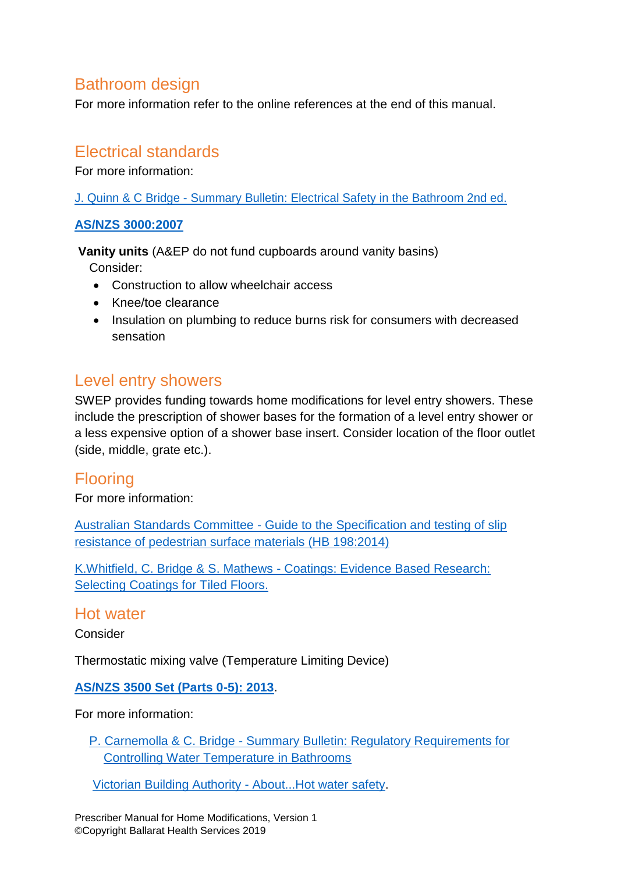#### <span id="page-14-0"></span>Bathroom design

For more information refer to the online references at the end of this manual.

#### <span id="page-14-1"></span>Electrical standards

For more information:

J. Quinn & C Bridge - [Summary Bulletin: Electrical Safety in the Bathroom 2nd ed.](http://www.homemods.info/Download.ashx?File=48979d6cbb3644fdae198b9a888734)

#### **[AS/NZS 3000:2007](http://infostore.saiglobal.com/store/details.aspx?ProductID=366926)**

**Vanity units** (A&EP do not fund cupboards around vanity basins)

Consider:

- Construction to allow wheelchair access
- Knee/toe clearance
- Insulation on plumbing to reduce burns risk for consumers with decreased sensation

#### <span id="page-14-2"></span>Level entry showers

SWEP provides funding towards home modifications for level entry showers. These include the prescription of shower bases for the formation of a level entry shower or a less expensive option of a shower base insert. Consider location of the floor outlet (side, middle, grate etc.).

#### <span id="page-14-3"></span>Flooring

For more information:

Australian Standards Committee - [Guide to the Specification and testing of slip](http://www.floorsliptest.com.au/stadnards-australia-handbook-hb-198-2014/)  [resistance of pedestrian surface materials \(HB 198:2014\)](http://www.floorsliptest.com.au/stadnards-australia-handbook-hb-198-2014/)

K.Whitfield, C. Bridge & S. Mathews - [Coatings: Evidence Based Research:](https://www.homemods.info/resources/hminfo-research-publications/evidence/coatings-evidence-based-research-selecting-coatings-for-tiled-floors)  [Selecting Coatings for Tiled Floors.](https://www.homemods.info/resources/hminfo-research-publications/evidence/coatings-evidence-based-research-selecting-coatings-for-tiled-floors)

#### <span id="page-14-4"></span>Hot water

Consider

Thermostatic mixing valve (Temperature Limiting Device)

#### **[AS/NZS 3500 Set \(Parts 0-5\): 2013](http://infostore.saiglobal.com/store/details.aspx?ProductID=1624672)**.

For more information:

P. Carnemolla & C. Bridge - [Summary Bulletin: Regulatory Requirements for](https://www.homemods.info/resources/hminfo-research-publications/summary/summary-bulletin-regulatory-requirements-for-controlling-water-temperature-in-bathrooms)  [Controlling Water Temperature in Bathrooms](https://www.homemods.info/resources/hminfo-research-publications/summary/summary-bulletin-regulatory-requirements-for-controlling-water-temperature-in-bathrooms)

[Victorian Building Authority -](http://www.vba.vic.gov.au/__data/assets/pdf_file/0018/21267/Hot-water-safety.pdf) About...Hot water safety.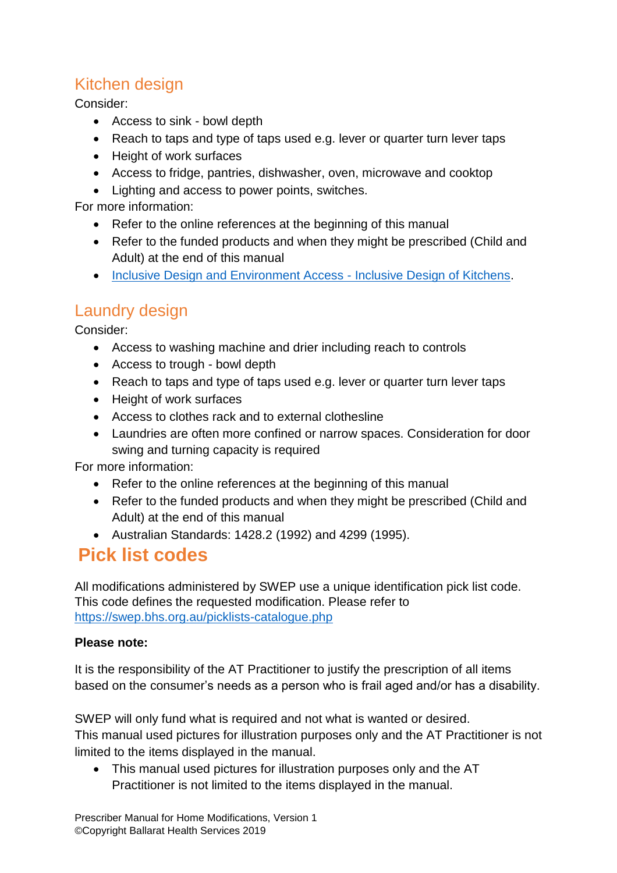#### <span id="page-15-0"></span>Kitchen design

Consider:

- Access to sink bowl depth
- Reach to taps and type of taps used e.g. lever or quarter turn lever taps
- Height of work surfaces
- Access to fridge, pantries, dishwasher, oven, microwave and cooktop
- Lighting and access to power points, switches.

For more information:

- Refer to the online references at the beginning of this manual
- Refer to the funded products and when they might be prescribed (Child and Adult) at the end of this manual
- [Inclusive Design and Environment Access](http://udeworld.com/Publications/presentations/idea_allegany_oct2010_kitchens.pdf) Inclusive Design of Kitchens.

#### <span id="page-15-1"></span>Laundry design

Consider:

- Access to washing machine and drier including reach to controls
- Access to trough bowl depth
- Reach to taps and type of taps used e.g. lever or quarter turn lever taps
- Height of work surfaces
- Access to clothes rack and to external clothesline
- Laundries are often more confined or narrow spaces. Consideration for door swing and turning capacity is required

For more information:

- Refer to the online references at the beginning of this manual
- Refer to the funded products and when they might be prescribed (Child and Adult) at the end of this manual
- Australian Standards: 1428.2 (1992) and 4299 (1995).

#### <span id="page-15-2"></span>**Pick list codes**

All modifications administered by SWEP use a unique identification pick list code. This code defines the requested modification. Please refer to <https://swep.bhs.org.au/picklists-catalogue.php>

#### **Please note:**

It is the responsibility of the AT Practitioner to justify the prescription of all items based on the consumer's needs as a person who is frail aged and/or has a disability.

SWEP will only fund what is required and not what is wanted or desired. This manual used pictures for illustration purposes only and the AT Practitioner is not limited to the items displayed in the manual.

 This manual used pictures for illustration purposes only and the AT Practitioner is not limited to the items displayed in the manual.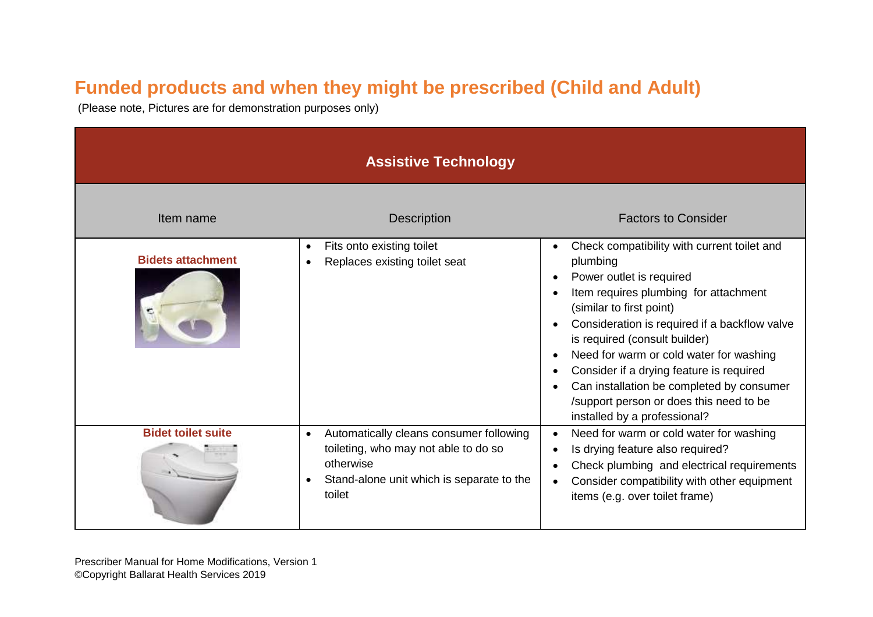### **Funded products and when they might be prescribed (Child and Adult)**

(Please note, Pictures are for demonstration purposes only)

<span id="page-16-0"></span>

| <b>Assistive Technology</b> |                                                                                                                                                                  |                                                                                                                                                                                                                                                                                                                                                                                                                                                           |
|-----------------------------|------------------------------------------------------------------------------------------------------------------------------------------------------------------|-----------------------------------------------------------------------------------------------------------------------------------------------------------------------------------------------------------------------------------------------------------------------------------------------------------------------------------------------------------------------------------------------------------------------------------------------------------|
| Item name                   | <b>Description</b>                                                                                                                                               | <b>Factors to Consider</b>                                                                                                                                                                                                                                                                                                                                                                                                                                |
| <b>Bidets attachment</b>    | Fits onto existing toilet<br>$\bullet$<br>Replaces existing toilet seat                                                                                          | Check compatibility with current toilet and<br>plumbing<br>Power outlet is required<br>Item requires plumbing for attachment<br>(similar to first point)<br>Consideration is required if a backflow valve<br>is required (consult builder)<br>Need for warm or cold water for washing<br>Consider if a drying feature is required<br>Can installation be completed by consumer<br>/support person or does this need to be<br>installed by a professional? |
| <b>Bidet toilet suite</b>   | Automatically cleans consumer following<br>$\bullet$<br>toileting, who may not able to do so<br>otherwise<br>Stand-alone unit which is separate to the<br>toilet | Need for warm or cold water for washing<br>Is drying feature also required?<br>Check plumbing and electrical requirements<br>Consider compatibility with other equipment<br>items (e.g. over toilet frame)                                                                                                                                                                                                                                                |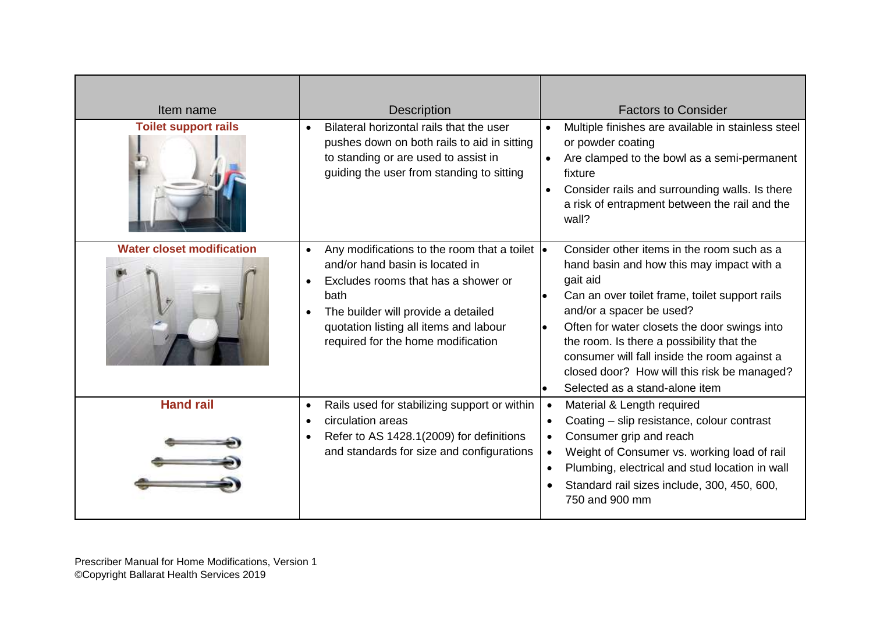| Item name                        | <b>Description</b>                                                                                                                                                                                                                                                                                   | <b>Factors to Consider</b>                                                                                                                                                                                                                                                                                                                                                                                                                |
|----------------------------------|------------------------------------------------------------------------------------------------------------------------------------------------------------------------------------------------------------------------------------------------------------------------------------------------------|-------------------------------------------------------------------------------------------------------------------------------------------------------------------------------------------------------------------------------------------------------------------------------------------------------------------------------------------------------------------------------------------------------------------------------------------|
| <b>Toilet support rails</b>      | Bilateral horizontal rails that the user<br>$\bullet$<br>pushes down on both rails to aid in sitting<br>to standing or are used to assist in<br>guiding the user from standing to sitting                                                                                                            | Multiple finishes are available in stainless steel<br>$\bullet$<br>or powder coating<br>Are clamped to the bowl as a semi-permanent<br>$\bullet$<br>fixture<br>Consider rails and surrounding walls. Is there<br>$\bullet$<br>a risk of entrapment between the rail and the<br>wall?                                                                                                                                                      |
| <b>Water closet modification</b> | Any modifications to the room that a toilet $\vert \bullet \vert$<br>$\bullet$<br>and/or hand basin is located in<br>Excludes rooms that has a shower or<br>$\bullet$<br>bath<br>The builder will provide a detailed<br>quotation listing all items and labour<br>required for the home modification | Consider other items in the room such as a<br>hand basin and how this may impact with a<br>gait aid<br>Can an over toilet frame, toilet support rails<br>$\bullet$<br>and/or a spacer be used?<br>Often for water closets the door swings into<br>$\bullet$<br>the room. Is there a possibility that the<br>consumer will fall inside the room against a<br>closed door? How will this risk be managed?<br>Selected as a stand-alone item |
| <b>Hand rail</b>                 | Rails used for stabilizing support or within<br>$\bullet$<br>circulation areas<br>Refer to AS 1428.1(2009) for definitions<br>and standards for size and configurations                                                                                                                              | Material & Length required<br>$\bullet$<br>Coating - slip resistance, colour contrast<br>$\bullet$<br>Consumer grip and reach<br>$\bullet$<br>Weight of Consumer vs. working load of rail<br>Plumbing, electrical and stud location in wall<br>$\bullet$<br>Standard rail sizes include, 300, 450, 600,<br>750 and 900 mm                                                                                                                 |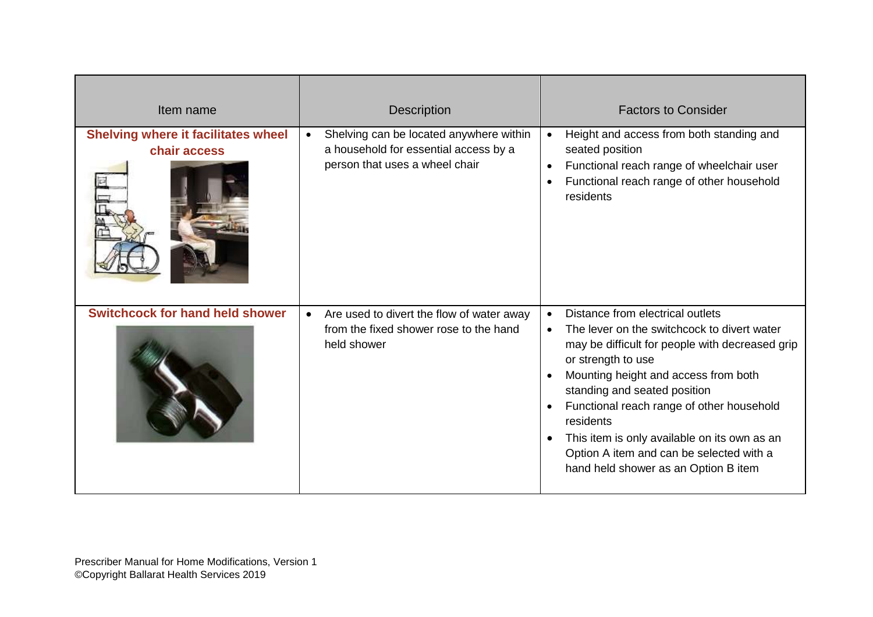| Item name                                                  | <b>Description</b>                                                                                                 | <b>Factors to Consider</b>                                                                                                                                                                                                                                                                                                                                                                                                                                                                      |
|------------------------------------------------------------|--------------------------------------------------------------------------------------------------------------------|-------------------------------------------------------------------------------------------------------------------------------------------------------------------------------------------------------------------------------------------------------------------------------------------------------------------------------------------------------------------------------------------------------------------------------------------------------------------------------------------------|
| <b>Shelving where it facilitates wheel</b><br>chair access | Shelving can be located anywhere within<br>a household for essential access by a<br>person that uses a wheel chair | Height and access from both standing and<br>$\bullet$<br>seated position<br>Functional reach range of wheelchair user<br>$\bullet$<br>Functional reach range of other household<br>$\bullet$<br>residents                                                                                                                                                                                                                                                                                       |
| <b>Switchcock for hand held shower</b>                     | Are used to divert the flow of water away<br>from the fixed shower rose to the hand<br>held shower                 | Distance from electrical outlets<br>$\bullet$<br>The lever on the switchcock to divert water<br>$\bullet$<br>may be difficult for people with decreased grip<br>or strength to use<br>Mounting height and access from both<br>$\bullet$<br>standing and seated position<br>Functional reach range of other household<br>$\bullet$<br>residents<br>This item is only available on its own as an<br>$\bullet$<br>Option A item and can be selected with a<br>hand held shower as an Option B item |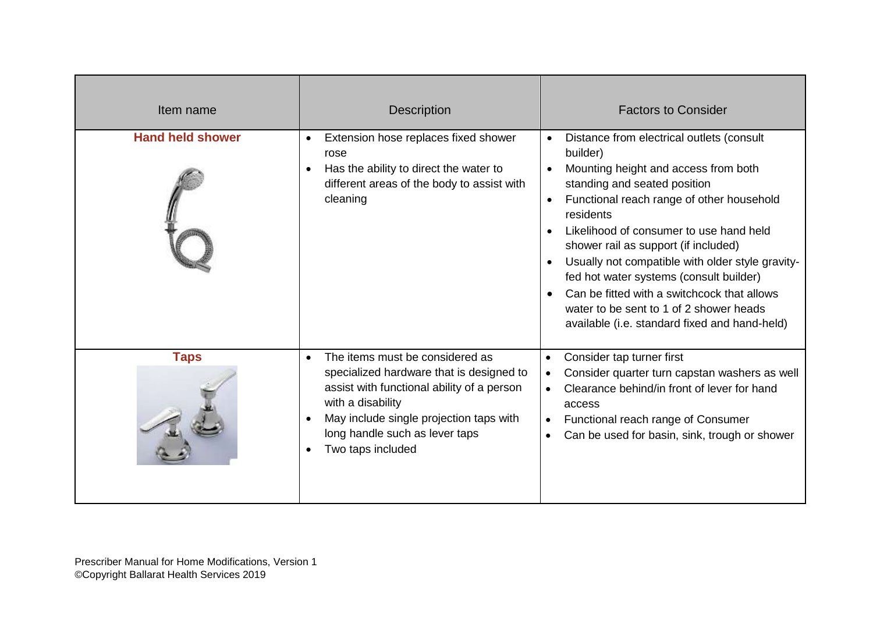| Item name               | <b>Description</b>                                                                                                                                                                                                                                            | <b>Factors to Consider</b>                                                                                                                                                                                                                                                                                                                                                                                                                                                                                                                                  |
|-------------------------|---------------------------------------------------------------------------------------------------------------------------------------------------------------------------------------------------------------------------------------------------------------|-------------------------------------------------------------------------------------------------------------------------------------------------------------------------------------------------------------------------------------------------------------------------------------------------------------------------------------------------------------------------------------------------------------------------------------------------------------------------------------------------------------------------------------------------------------|
| <b>Hand held shower</b> | Extension hose replaces fixed shower<br>$\bullet$<br>rose<br>Has the ability to direct the water to<br>$\bullet$<br>different areas of the body to assist with<br>cleaning                                                                                    | Distance from electrical outlets (consult<br>$\bullet$<br>builder)<br>Mounting height and access from both<br>standing and seated position<br>Functional reach range of other household<br>$\bullet$<br>residents<br>Likelihood of consumer to use hand held<br>$\bullet$<br>shower rail as support (if included)<br>Usually not compatible with older style gravity-<br>fed hot water systems (consult builder)<br>Can be fitted with a switchcock that allows<br>water to be sent to 1 of 2 shower heads<br>available (i.e. standard fixed and hand-held) |
| <b>Taps</b>             | The items must be considered as<br>$\bullet$<br>specialized hardware that is designed to<br>assist with functional ability of a person<br>with a disability<br>May include single projection taps with<br>long handle such as lever taps<br>Two taps included | Consider tap turner first<br>$\bullet$<br>Consider quarter turn capstan washers as well<br>$\bullet$<br>Clearance behind/in front of lever for hand<br>$\bullet$<br>access<br>Functional reach range of Consumer<br>$\bullet$<br>Can be used for basin, sink, trough or shower<br>$\bullet$                                                                                                                                                                                                                                                                 |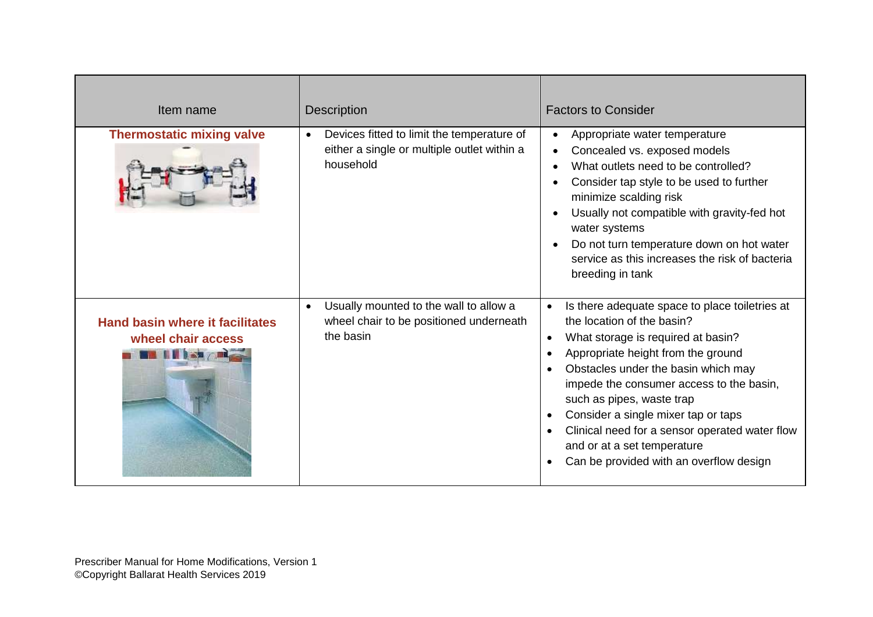| Item name                                                    | <b>Description</b>                                                                                                  | <b>Factors to Consider</b>                                                                                                                                                                                                                                                                                                                                                                                                                                                                                        |
|--------------------------------------------------------------|---------------------------------------------------------------------------------------------------------------------|-------------------------------------------------------------------------------------------------------------------------------------------------------------------------------------------------------------------------------------------------------------------------------------------------------------------------------------------------------------------------------------------------------------------------------------------------------------------------------------------------------------------|
| <b>Thermostatic mixing valve</b>                             | Devices fitted to limit the temperature of<br>$\bullet$<br>either a single or multiple outlet within a<br>household | Appropriate water temperature<br>Concealed vs. exposed models<br>What outlets need to be controlled?<br>Consider tap style to be used to further<br>minimize scalding risk<br>Usually not compatible with gravity-fed hot<br>water systems<br>Do not turn temperature down on hot water<br>service as this increases the risk of bacteria<br>breeding in tank                                                                                                                                                     |
| <b>Hand basin where it facilitates</b><br>wheel chair access | Usually mounted to the wall to allow a<br>$\bullet$<br>wheel chair to be positioned underneath<br>the basin         | Is there adequate space to place toiletries at<br>$\bullet$<br>the location of the basin?<br>What storage is required at basin?<br>$\bullet$<br>Appropriate height from the ground<br>$\bullet$<br>Obstacles under the basin which may<br>$\bullet$<br>impede the consumer access to the basin,<br>such as pipes, waste trap<br>Consider a single mixer tap or taps<br>٠<br>Clinical need for a sensor operated water flow<br>and or at a set temperature<br>Can be provided with an overflow design<br>$\bullet$ |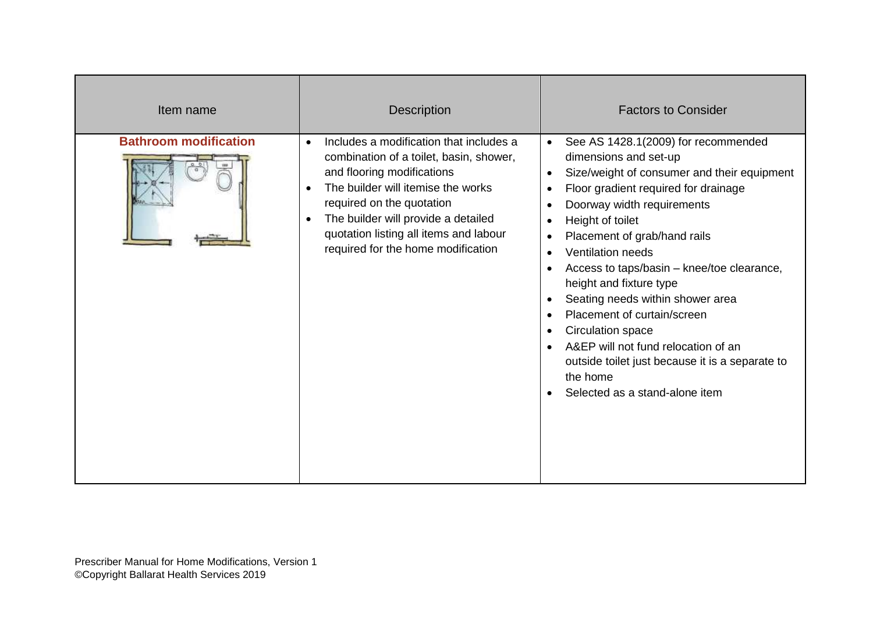| Item name                    | <b>Description</b>                                                                                                                                                                                                                                                                                                                   | <b>Factors to Consider</b>                                                                                                                                                                                                                                                                                                                                                                                                                                                                                                                                                                                                                                                                                                             |
|------------------------------|--------------------------------------------------------------------------------------------------------------------------------------------------------------------------------------------------------------------------------------------------------------------------------------------------------------------------------------|----------------------------------------------------------------------------------------------------------------------------------------------------------------------------------------------------------------------------------------------------------------------------------------------------------------------------------------------------------------------------------------------------------------------------------------------------------------------------------------------------------------------------------------------------------------------------------------------------------------------------------------------------------------------------------------------------------------------------------------|
| <b>Bathroom modification</b> | Includes a modification that includes a<br>$\bullet$<br>combination of a toilet, basin, shower,<br>and flooring modifications<br>The builder will itemise the works<br>required on the quotation<br>The builder will provide a detailed<br>$\bullet$<br>quotation listing all items and labour<br>required for the home modification | See AS 1428.1(2009) for recommended<br>$\bullet$<br>dimensions and set-up<br>Size/weight of consumer and their equipment<br>$\bullet$<br>Floor gradient required for drainage<br>$\bullet$<br>Doorway width requirements<br>$\bullet$<br>Height of toilet<br>$\bullet$<br>Placement of grab/hand rails<br>$\bullet$<br><b>Ventilation needs</b><br>$\bullet$<br>Access to taps/basin - knee/toe clearance,<br>$\bullet$<br>height and fixture type<br>Seating needs within shower area<br>$\bullet$<br>Placement of curtain/screen<br>$\bullet$<br>Circulation space<br>$\bullet$<br>A&EP will not fund relocation of an<br>outside toilet just because it is a separate to<br>the home<br>Selected as a stand-alone item<br>$\bullet$ |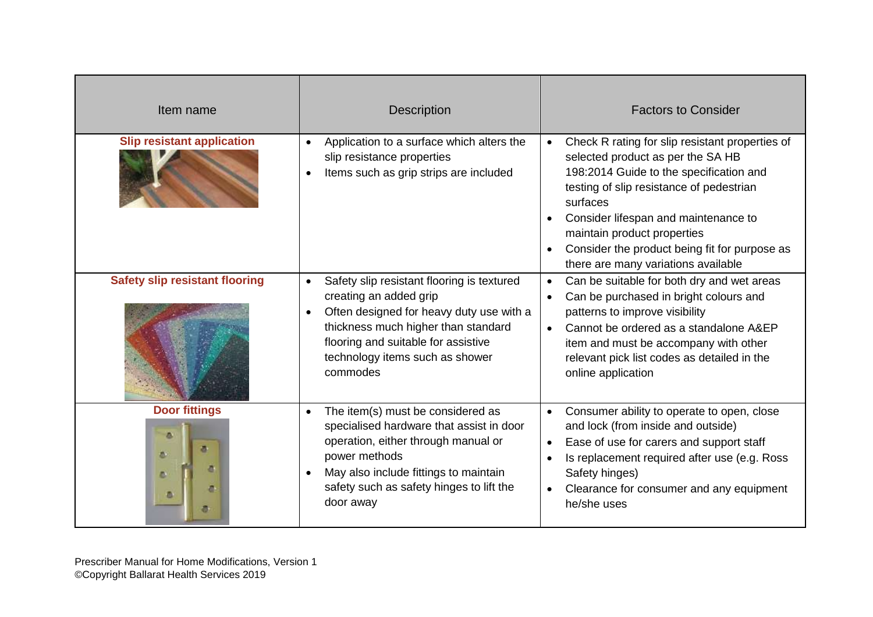| Item name                             | <b>Description</b>                                                                                                                                                                                                                                                      | <b>Factors to Consider</b>                                                                                                                                                                                                                                                                                                                                          |
|---------------------------------------|-------------------------------------------------------------------------------------------------------------------------------------------------------------------------------------------------------------------------------------------------------------------------|---------------------------------------------------------------------------------------------------------------------------------------------------------------------------------------------------------------------------------------------------------------------------------------------------------------------------------------------------------------------|
| <b>Slip resistant application</b>     | Application to a surface which alters the<br>$\bullet$<br>slip resistance properties<br>Items such as grip strips are included<br>$\bullet$                                                                                                                             | Check R rating for slip resistant properties of<br>$\bullet$<br>selected product as per the SA HB<br>198:2014 Guide to the specification and<br>testing of slip resistance of pedestrian<br>surfaces<br>Consider lifespan and maintenance to<br>maintain product properties<br>Consider the product being fit for purpose as<br>there are many variations available |
| <b>Safety slip resistant flooring</b> | Safety slip resistant flooring is textured<br>$\bullet$<br>creating an added grip<br>Often designed for heavy duty use with a<br>$\bullet$<br>thickness much higher than standard<br>flooring and suitable for assistive<br>technology items such as shower<br>commodes | Can be suitable for both dry and wet areas<br>$\bullet$<br>Can be purchased in bright colours and<br>$\bullet$<br>patterns to improve visibility<br>Cannot be ordered as a standalone A&EP<br>$\bullet$<br>item and must be accompany with other<br>relevant pick list codes as detailed in the<br>online application                                               |
| <b>Door fittings</b><br>a<br>a.<br>画  | The item(s) must be considered as<br>$\bullet$<br>specialised hardware that assist in door<br>operation, either through manual or<br>power methods<br>May also include fittings to maintain<br>safety such as safety hinges to lift the<br>door away                    | Consumer ability to operate to open, close<br>$\bullet$<br>and lock (from inside and outside)<br>Ease of use for carers and support staff<br>$\bullet$<br>Is replacement required after use (e.g. Ross<br>$\bullet$<br>Safety hinges)<br>Clearance for consumer and any equipment<br>$\bullet$<br>he/she uses                                                       |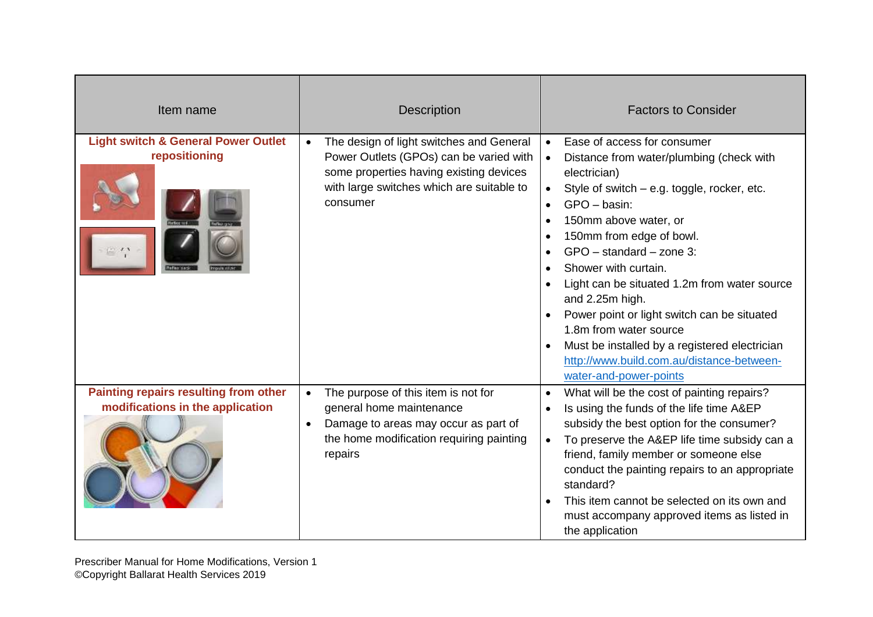| Item name                                                                               | <b>Description</b>                                                                                                                                                                                   | <b>Factors to Consider</b>                                                                                                                                                                                                                                                                                                                                                                                                                                                                                                                                                                                                                                               |
|-----------------------------------------------------------------------------------------|------------------------------------------------------------------------------------------------------------------------------------------------------------------------------------------------------|--------------------------------------------------------------------------------------------------------------------------------------------------------------------------------------------------------------------------------------------------------------------------------------------------------------------------------------------------------------------------------------------------------------------------------------------------------------------------------------------------------------------------------------------------------------------------------------------------------------------------------------------------------------------------|
| <b>Light switch &amp; General Power Outlet</b><br>repositioning<br>$\approx$ $\alpha$ v | The design of light switches and General<br>$\bullet$<br>Power Outlets (GPOs) can be varied with<br>some properties having existing devices<br>with large switches which are suitable to<br>consumer | Ease of access for consumer<br>$\bullet$<br>Distance from water/plumbing (check with<br>$\bullet$<br>electrician)<br>Style of switch - e.g. toggle, rocker, etc.<br>$\bullet$<br>GPO - basin:<br>$\bullet$<br>150mm above water, or<br>$\bullet$<br>150mm from edge of bowl.<br>$\bullet$<br>$GPO - standard - zone 3$ :<br>$\bullet$<br>Shower with curtain.<br>$\bullet$<br>Light can be situated 1.2m from water source<br>$\bullet$<br>and 2.25m high.<br>Power point or light switch can be situated<br>1.8m from water source<br>Must be installed by a registered electrician<br>$\bullet$<br>http://www.build.com.au/distance-between-<br>water-and-power-points |
| Painting repairs resulting from other<br>modifications in the application               | The purpose of this item is not for<br>$\bullet$<br>general home maintenance<br>Damage to areas may occur as part of<br>the home modification requiring painting<br>repairs                          | What will be the cost of painting repairs?<br>$\bullet$<br>Is using the funds of the life time A&EP<br>$\bullet$<br>subsidy the best option for the consumer?<br>To preserve the A&EP life time subsidy can a<br>$\bullet$<br>friend, family member or someone else<br>conduct the painting repairs to an appropriate<br>standard?<br>This item cannot be selected on its own and<br>$\bullet$<br>must accompany approved items as listed in<br>the application                                                                                                                                                                                                          |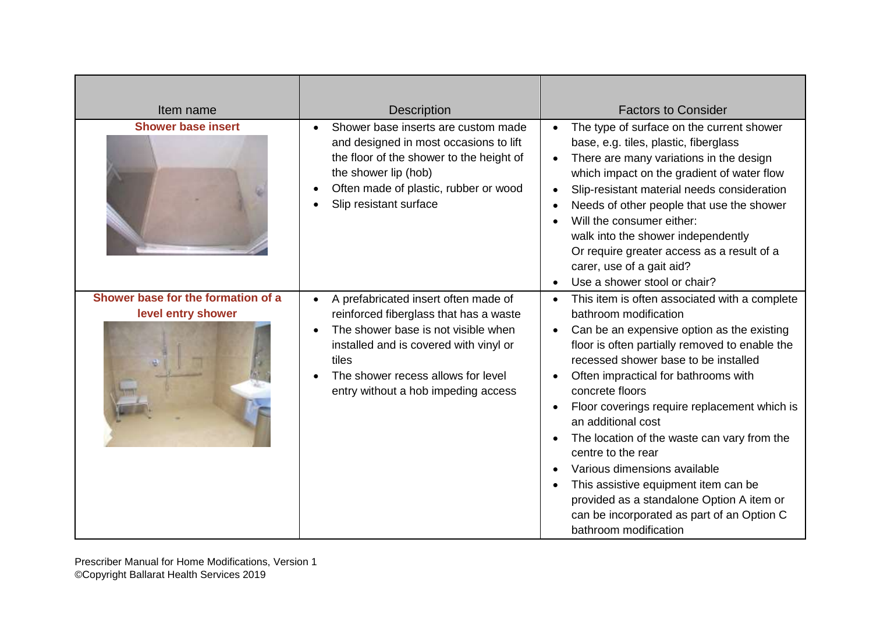| Item name                                                | <b>Description</b>                                                                                                                                                                                                                                                 | <b>Factors to Consider</b>                                                                                                                                                                                                                                                                                                                                                                                                                                                                                                                                                                                                         |
|----------------------------------------------------------|--------------------------------------------------------------------------------------------------------------------------------------------------------------------------------------------------------------------------------------------------------------------|------------------------------------------------------------------------------------------------------------------------------------------------------------------------------------------------------------------------------------------------------------------------------------------------------------------------------------------------------------------------------------------------------------------------------------------------------------------------------------------------------------------------------------------------------------------------------------------------------------------------------------|
| <b>Shower base insert</b>                                | Shower base inserts are custom made<br>and designed in most occasions to lift<br>the floor of the shower to the height of<br>the shower lip (hob)<br>Often made of plastic, rubber or wood<br>Slip resistant surface                                               | The type of surface on the current shower<br>$\bullet$<br>base, e.g. tiles, plastic, fiberglass<br>There are many variations in the design<br>which impact on the gradient of water flow<br>Slip-resistant material needs consideration<br>$\bullet$<br>Needs of other people that use the shower<br>Will the consumer either:<br>walk into the shower independently<br>Or require greater access as a result of a<br>carer, use of a gait aid?<br>Use a shower stool or chair?                                                                                                                                                    |
| Shower base for the formation of a<br>level entry shower | A prefabricated insert often made of<br>reinforced fiberglass that has a waste<br>The shower base is not visible when<br>installed and is covered with vinyl or<br>tiles<br>The shower recess allows for level<br>$\bullet$<br>entry without a hob impeding access | This item is often associated with a complete<br>bathroom modification<br>Can be an expensive option as the existing<br>floor is often partially removed to enable the<br>recessed shower base to be installed<br>Often impractical for bathrooms with<br>concrete floors<br>Floor coverings require replacement which is<br>٠<br>an additional cost<br>The location of the waste can vary from the<br>centre to the rear<br>Various dimensions available<br>This assistive equipment item can be<br>$\bullet$<br>provided as a standalone Option A item or<br>can be incorporated as part of an Option C<br>bathroom modification |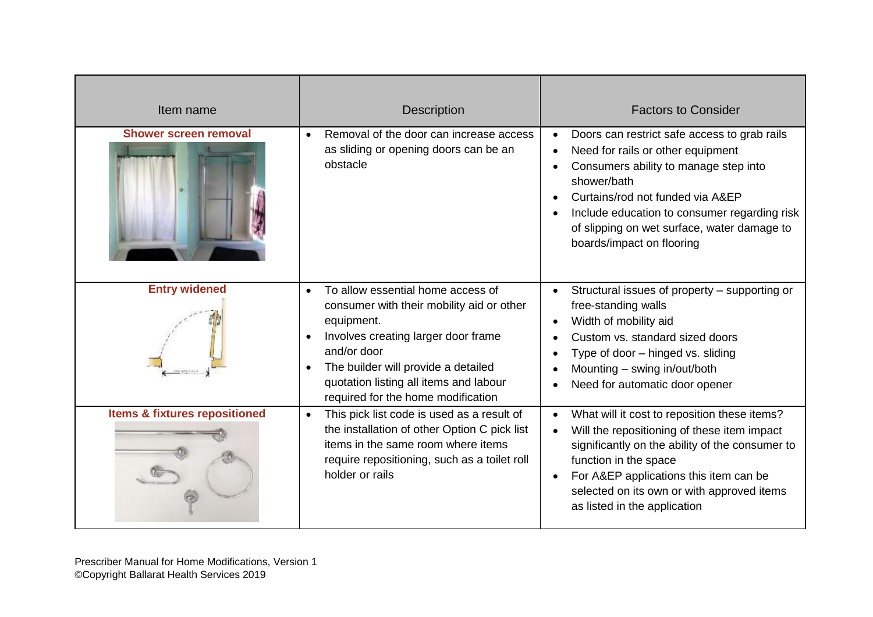| Item name                                | <b>Description</b>                                                                                                                                                                                                                                                                                               | <b>Factors to Consider</b>                                                                                                                                                                                                                                                                                             |
|------------------------------------------|------------------------------------------------------------------------------------------------------------------------------------------------------------------------------------------------------------------------------------------------------------------------------------------------------------------|------------------------------------------------------------------------------------------------------------------------------------------------------------------------------------------------------------------------------------------------------------------------------------------------------------------------|
| <b>Shower screen removal</b>             | Removal of the door can increase access<br>$\bullet$<br>as sliding or opening doors can be an<br>obstacle                                                                                                                                                                                                        | Doors can restrict safe access to grab rails<br>Need for rails or other equipment<br>$\bullet$<br>Consumers ability to manage step into<br>shower/bath<br>Curtains/rod not funded via A&EP<br>Include education to consumer regarding risk<br>of slipping on wet surface, water damage to<br>boards/impact on flooring |
| <b>Entry widened</b>                     | To allow essential home access of<br>$\bullet$<br>consumer with their mobility aid or other<br>equipment.<br>Involves creating larger door frame<br>$\bullet$<br>and/or door<br>The builder will provide a detailed<br>$\bullet$<br>quotation listing all items and labour<br>required for the home modification | Structural issues of property - supporting or<br>free-standing walls<br>Width of mobility aid<br>Custom vs. standard sized doors<br>Type of door - hinged vs. sliding<br>Mounting - swing in/out/both<br>Need for automatic door opener                                                                                |
| <b>Items &amp; fixtures repositioned</b> | This pick list code is used as a result of<br>$\bullet$<br>the installation of other Option C pick list<br>items in the same room where items<br>require repositioning, such as a toilet roll<br>holder or rails                                                                                                 | What will it cost to reposition these items?<br>Will the repositioning of these item impact<br>significantly on the ability of the consumer to<br>function in the space<br>For A&EP applications this item can be<br>selected on its own or with approved items<br>as listed in the application                        |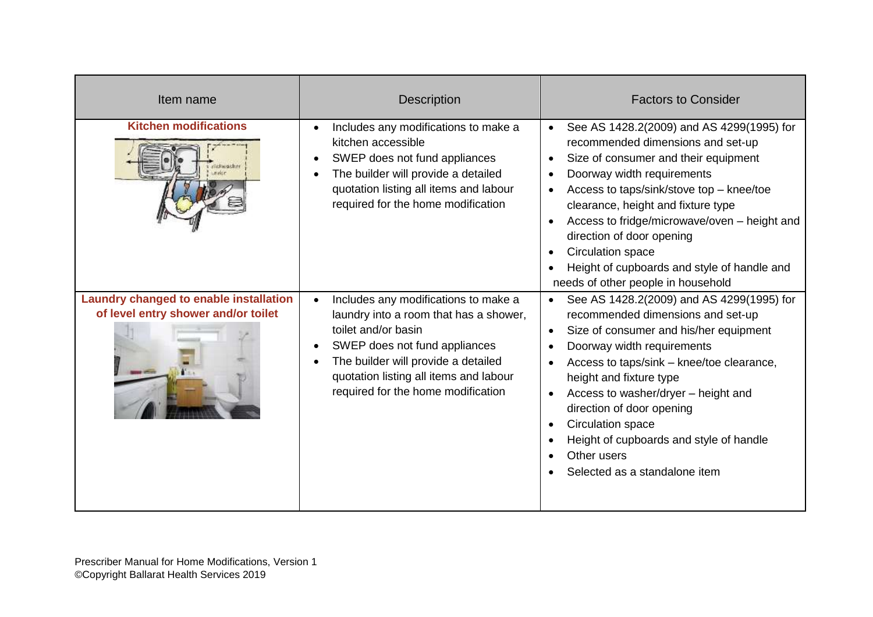| Item name                                                                            | <b>Description</b>                                                                                                                                                                                                                                            | <b>Factors to Consider</b>                                                                                                                                                                                                                                                                                                                                                                                                                 |
|--------------------------------------------------------------------------------------|---------------------------------------------------------------------------------------------------------------------------------------------------------------------------------------------------------------------------------------------------------------|--------------------------------------------------------------------------------------------------------------------------------------------------------------------------------------------------------------------------------------------------------------------------------------------------------------------------------------------------------------------------------------------------------------------------------------------|
| <b>Kitchen modifications</b><br>distression                                          | Includes any modifications to make a<br>kitchen accessible<br>SWEP does not fund appliances<br>The builder will provide a detailed<br>quotation listing all items and labour<br>required for the home modification                                            | See AS 1428.2(2009) and AS 4299(1995) for<br>recommended dimensions and set-up<br>Size of consumer and their equipment<br>$\bullet$<br>Doorway width requirements<br>Access to taps/sink/stove top - knee/toe<br>clearance, height and fixture type<br>Access to fridge/microwave/oven - height and<br>direction of door opening<br>Circulation space<br>Height of cupboards and style of handle and<br>needs of other people in household |
| <b>Laundry changed to enable installation</b><br>of level entry shower and/or toilet | Includes any modifications to make a<br>laundry into a room that has a shower,<br>toilet and/or basin<br>SWEP does not fund appliances<br>The builder will provide a detailed<br>quotation listing all items and labour<br>required for the home modification | See AS 1428.2(2009) and AS 4299(1995) for<br>recommended dimensions and set-up<br>Size of consumer and his/her equipment<br>$\bullet$<br>Doorway width requirements<br>Access to taps/sink - knee/toe clearance,<br>height and fixture type<br>Access to washer/dryer - height and<br>direction of door opening<br>Circulation space<br>Height of cupboards and style of handle<br>Other users<br>Selected as a standalone item            |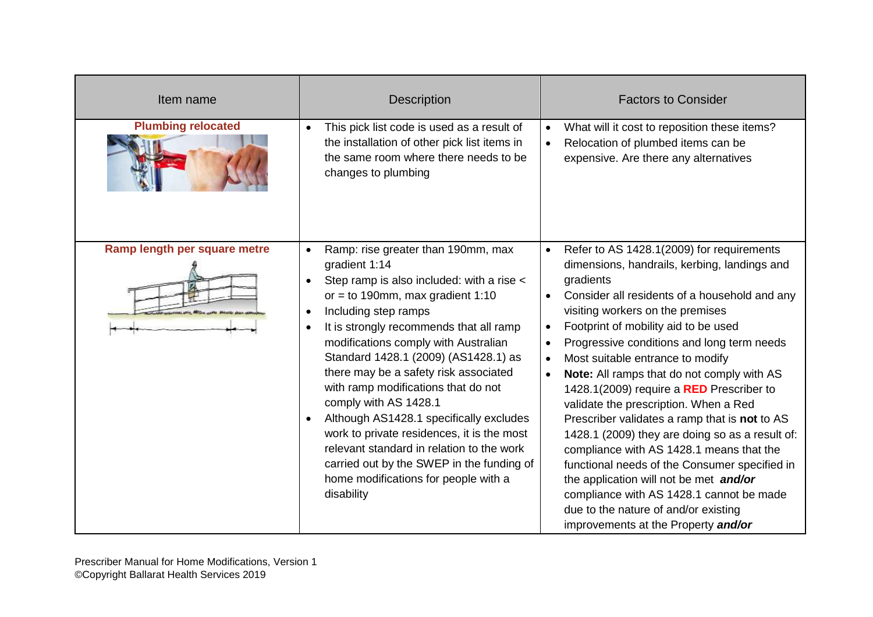| Item name                    | <b>Description</b>                                                                                                                                                                                                                                                                                                                                                                                                                                                                                                                                                                                                                                                                 | <b>Factors to Consider</b>                                                                                                                                                                                                                                                                                                                                                                                                                                                                                                                                                                                                                                                                                                                                                                                                                                                                      |
|------------------------------|------------------------------------------------------------------------------------------------------------------------------------------------------------------------------------------------------------------------------------------------------------------------------------------------------------------------------------------------------------------------------------------------------------------------------------------------------------------------------------------------------------------------------------------------------------------------------------------------------------------------------------------------------------------------------------|-------------------------------------------------------------------------------------------------------------------------------------------------------------------------------------------------------------------------------------------------------------------------------------------------------------------------------------------------------------------------------------------------------------------------------------------------------------------------------------------------------------------------------------------------------------------------------------------------------------------------------------------------------------------------------------------------------------------------------------------------------------------------------------------------------------------------------------------------------------------------------------------------|
| <b>Plumbing relocated</b>    | This pick list code is used as a result of<br>$\bullet$<br>the installation of other pick list items in<br>the same room where there needs to be<br>changes to plumbing                                                                                                                                                                                                                                                                                                                                                                                                                                                                                                            | What will it cost to reposition these items?<br>$\bullet$<br>Relocation of plumbed items can be<br>$\bullet$<br>expensive. Are there any alternatives                                                                                                                                                                                                                                                                                                                                                                                                                                                                                                                                                                                                                                                                                                                                           |
| Ramp length per square metre | Ramp: rise greater than 190mm, max<br>$\bullet$<br>gradient 1:14<br>Step ramp is also included: with a rise <<br>$\bullet$<br>or = to 190mm, max gradient $1:10$<br>Including step ramps<br>$\bullet$<br>It is strongly recommends that all ramp<br>modifications comply with Australian<br>Standard 1428.1 (2009) (AS1428.1) as<br>there may be a safety risk associated<br>with ramp modifications that do not<br>comply with AS 1428.1<br>Although AS1428.1 specifically excludes<br>work to private residences, it is the most<br>relevant standard in relation to the work<br>carried out by the SWEP in the funding of<br>home modifications for people with a<br>disability | Refer to AS 1428.1(2009) for requirements<br>$\bullet$<br>dimensions, handrails, kerbing, landings and<br>gradients<br>Consider all residents of a household and any<br>visiting workers on the premises<br>Footprint of mobility aid to be used<br>$\bullet$<br>Progressive conditions and long term needs<br>$\bullet$<br>Most suitable entrance to modify<br>$\bullet$<br>Note: All ramps that do not comply with AS<br>$\bullet$<br>1428.1(2009) require a RED Prescriber to<br>validate the prescription. When a Red<br>Prescriber validates a ramp that is not to AS<br>1428.1 (2009) they are doing so as a result of:<br>compliance with AS 1428.1 means that the<br>functional needs of the Consumer specified in<br>the application will not be met and/or<br>compliance with AS 1428.1 cannot be made<br>due to the nature of and/or existing<br>improvements at the Property and/or |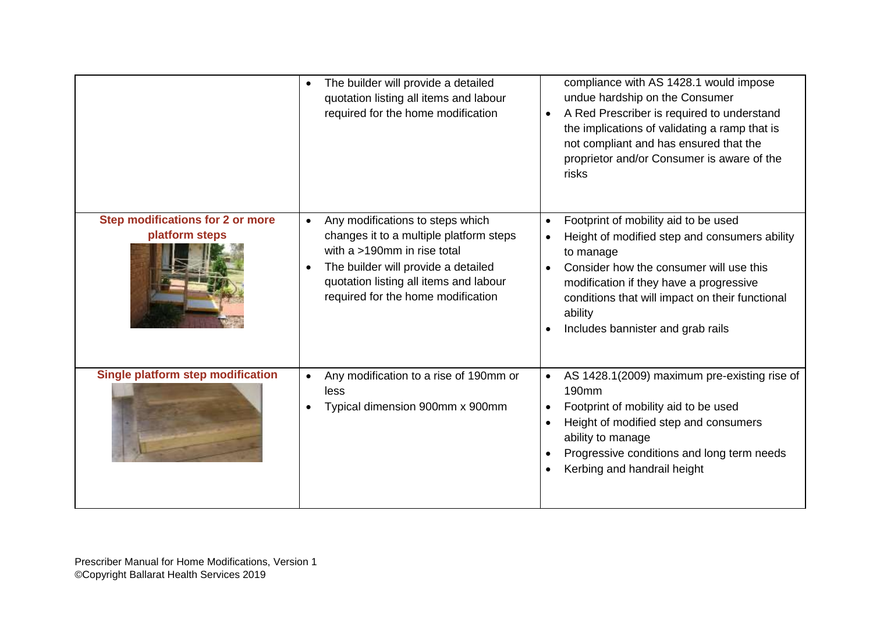|                                                    | The builder will provide a detailed<br>$\bullet$<br>quotation listing all items and labour<br>required for the home modification                                                                                                                            | compliance with AS 1428.1 would impose<br>undue hardship on the Consumer<br>A Red Prescriber is required to understand<br>$\bullet$<br>the implications of validating a ramp that is<br>not compliant and has ensured that the<br>proprietor and/or Consumer is aware of the<br>risks                                              |
|----------------------------------------------------|-------------------------------------------------------------------------------------------------------------------------------------------------------------------------------------------------------------------------------------------------------------|------------------------------------------------------------------------------------------------------------------------------------------------------------------------------------------------------------------------------------------------------------------------------------------------------------------------------------|
| Step modifications for 2 or more<br>platform steps | Any modifications to steps which<br>$\bullet$<br>changes it to a multiple platform steps<br>with a >190mm in rise total<br>The builder will provide a detailed<br>$\bullet$<br>quotation listing all items and labour<br>required for the home modification | Footprint of mobility aid to be used<br>$\bullet$<br>Height of modified step and consumers ability<br>$\bullet$<br>to manage<br>Consider how the consumer will use this<br>$\bullet$<br>modification if they have a progressive<br>conditions that will impact on their functional<br>ability<br>Includes bannister and grab rails |
| <b>Single platform step modification</b>           | Any modification to a rise of 190mm or<br>less<br>Typical dimension 900mm x 900mm                                                                                                                                                                           | AS 1428.1(2009) maximum pre-existing rise of<br>$\bullet$<br>190 <sub>mm</sub><br>Footprint of mobility aid to be used<br>$\bullet$<br>Height of modified step and consumers<br>$\bullet$<br>ability to manage<br>Progressive conditions and long term needs<br>Kerbing and handrail height                                        |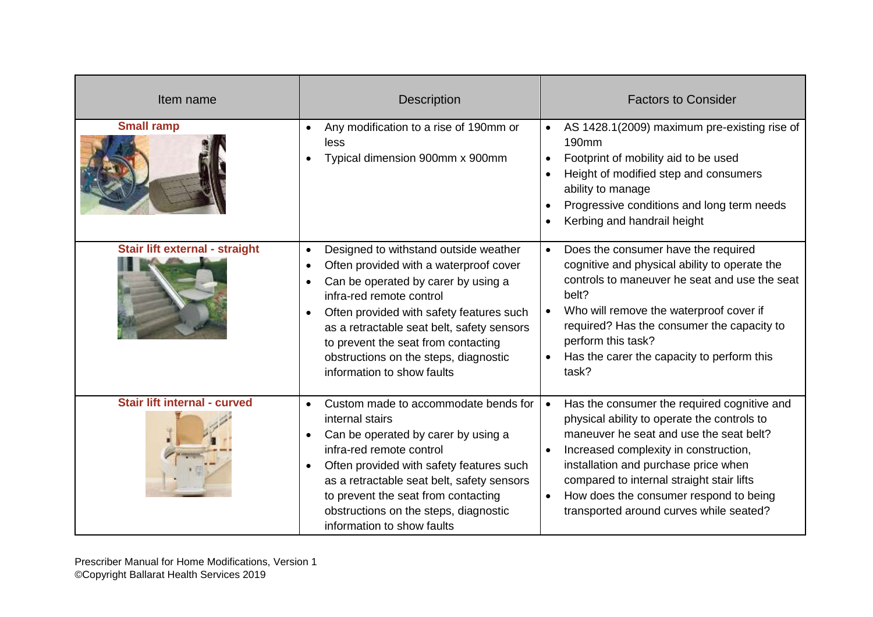| Item name                           | <b>Description</b>                                                                                                                                                                                                                                                                                                                                                                   | <b>Factors to Consider</b>                                                                                                                                                                                                                                                                                                                                                                      |
|-------------------------------------|--------------------------------------------------------------------------------------------------------------------------------------------------------------------------------------------------------------------------------------------------------------------------------------------------------------------------------------------------------------------------------------|-------------------------------------------------------------------------------------------------------------------------------------------------------------------------------------------------------------------------------------------------------------------------------------------------------------------------------------------------------------------------------------------------|
| <b>Small ramp</b>                   | Any modification to a rise of 190mm or<br>$\bullet$<br>less<br>Typical dimension 900mm x 900mm                                                                                                                                                                                                                                                                                       | AS 1428.1(2009) maximum pre-existing rise of<br>$\bullet$<br>190mm<br>Footprint of mobility aid to be used<br>$\bullet$<br>Height of modified step and consumers<br>$\bullet$<br>ability to manage<br>Progressive conditions and long term needs<br>$\bullet$<br>Kerbing and handrail height                                                                                                    |
| Stair lift external - straight      | Designed to withstand outside weather<br>$\bullet$<br>Often provided with a waterproof cover<br>Can be operated by carer by using a<br>infra-red remote control<br>Often provided with safety features such<br>$\bullet$<br>as a retractable seat belt, safety sensors<br>to prevent the seat from contacting<br>obstructions on the steps, diagnostic<br>information to show faults | Does the consumer have the required<br>$\bullet$<br>cognitive and physical ability to operate the<br>controls to maneuver he seat and use the seat<br>belt?<br>Who will remove the waterproof cover if<br>required? Has the consumer the capacity to<br>perform this task?<br>Has the carer the capacity to perform this<br>task?                                                               |
| <b>Stair lift internal - curved</b> | Custom made to accommodate bends for<br>$\bullet$<br>internal stairs<br>Can be operated by carer by using a<br>$\bullet$<br>infra-red remote control<br>Often provided with safety features such<br>$\bullet$<br>as a retractable seat belt, safety sensors<br>to prevent the seat from contacting<br>obstructions on the steps, diagnostic<br>information to show faults            | Has the consumer the required cognitive and<br>$\bullet$<br>physical ability to operate the controls to<br>maneuver he seat and use the seat belt?<br>Increased complexity in construction,<br>$\bullet$<br>installation and purchase price when<br>compared to internal straight stair lifts<br>How does the consumer respond to being<br>$\bullet$<br>transported around curves while seated? |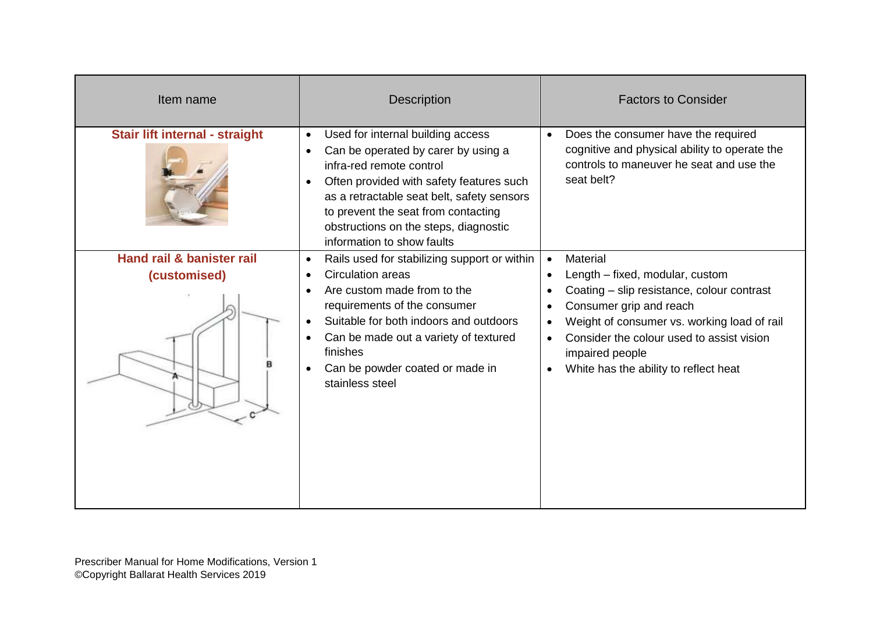| Item name                                 | <b>Description</b>                                                                                                                                                                                                                                                                                                                     | <b>Factors to Consider</b>                                                                                                                                                                                                                                                                                                                                              |
|-------------------------------------------|----------------------------------------------------------------------------------------------------------------------------------------------------------------------------------------------------------------------------------------------------------------------------------------------------------------------------------------|-------------------------------------------------------------------------------------------------------------------------------------------------------------------------------------------------------------------------------------------------------------------------------------------------------------------------------------------------------------------------|
| Stair lift internal - straight            | Used for internal building access<br>$\bullet$<br>Can be operated by carer by using a<br>infra-red remote control<br>Often provided with safety features such<br>$\bullet$<br>as a retractable seat belt, safety sensors<br>to prevent the seat from contacting<br>obstructions on the steps, diagnostic<br>information to show faults | Does the consumer have the required<br>$\bullet$<br>cognitive and physical ability to operate the<br>controls to maneuver he seat and use the<br>seat belt?                                                                                                                                                                                                             |
| Hand rail & banister rail<br>(customised) | Rails used for stabilizing support or within<br>$\bullet$<br>Circulation areas<br>Are custom made from to the<br>requirements of the consumer<br>Suitable for both indoors and outdoors<br>Can be made out a variety of textured<br>finishes<br>Can be powder coated or made in<br>stainless steel                                     | Material<br>$\bullet$<br>Length – fixed, modular, custom<br>$\bullet$<br>Coating - slip resistance, colour contrast<br>$\bullet$<br>Consumer grip and reach<br>$\bullet$<br>Weight of consumer vs. working load of rail<br>$\bullet$<br>Consider the colour used to assist vision<br>$\bullet$<br>impaired people<br>White has the ability to reflect heat<br>$\bullet$ |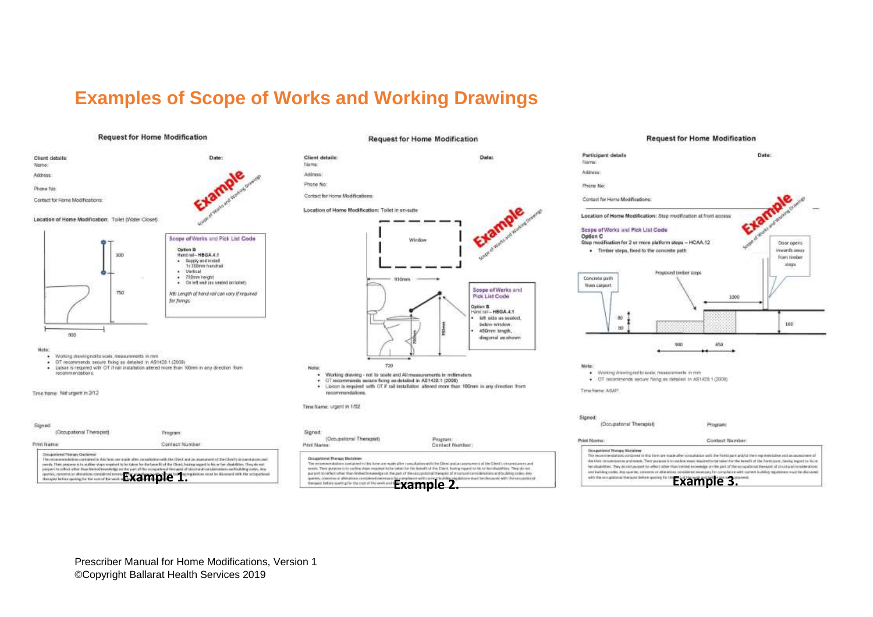#### **Examples of Scope of Works and Working Drawings**

#### **Request for Home Modification**



#### **Request for Home Modification**



**Request for Home Modification** 



<span id="page-31-0"></span>Occupational Therapy Distalates **Example 1. Example 1. Example 3. Example 3. Example 3. Example 3. Example 3. Example 3. Example 3. Example 3. Example 3. Example 3. Example 3. Example 3. Example 3. Example 3. Example 3.**

Program:

**Contact Number** 

(Occupational Therapist)